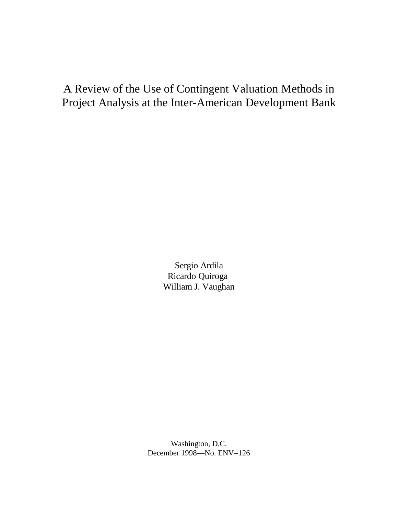## A Review of the Use of Contingent Valuation Methods in Project Analysis at the Inter-American Development Bank

Sergio Ardila Ricardo Quiroga William J. Vaughan

Washington, D.C. December 1998— No. ENV–126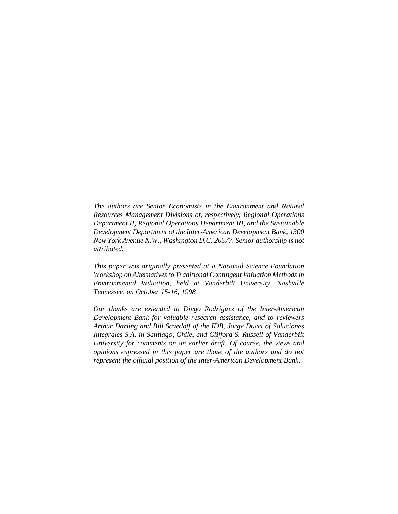*The authors are Senior Economists in the Environment and Natural Resources Management Divisions of, respectively, Regional Operations Department II, Regional Operations Department III, and the Sustainable Development Department of the Inter-American Development Bank, 1300 New York Avenue N.W., Washington D.C. 20577. Senior authorship is not attributed.*

*This paper was originally presented at a National Science Foundation Workshop on Alternatives to Traditional Contingent Valuation Methods in Environmental Valuation, held at Vanderbilt University, Nashville Tennessee, on October 15-16, 1998* 

*Our thanks are extended to Diego Rodriguez of the Inter-American Development Bank for valuable research assistance, and to reviewers Arthur Darling and Bill Savedoff of the IDB, Jorge Ducci of Soluciones Integrales S.A. in Santiago, Chile, and Clifford S. Russell of Vanderbilt University for comments on an earlier draft. Of course, the views and opinions expressed in this paper are those of the authors and do not represent the official position of the Inter-American Development Bank.*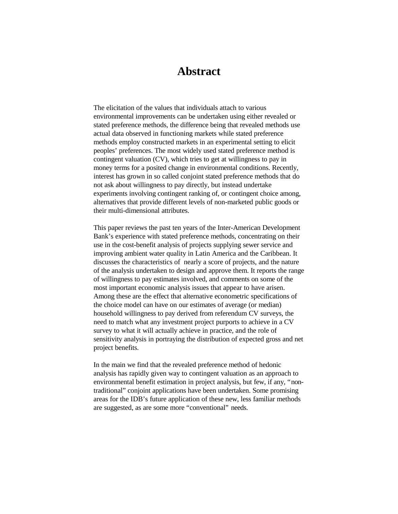### **Abstract**

The elicitation of the values that individuals attach to various environmental improvements can be undertaken using either revealed or stated preference methods, the difference being that revealed methods use actual data observed in functioning markets while stated preference methods employ constructed markets in an experimental setting to elicit peoples' preferences. The most widely used stated preference method is contingent valuation (CV), which tries to get at willingness to pay in money terms for a posited change in environmental conditions. Recently, interest has grown in so called conjoint stated preference methods that do not ask about willingness to pay directly, but instead undertake experiments involving contingent ranking of, or contingent choice among, alternatives that provide different levels of non-marketed public goods or their multi-dimensional attributes.

This paper reviews the past ten years of the Inter-American Development Bank's experience with stated preference methods, concentrating on their use in the cost-benefit analysis of projects supplying sewer service and improving ambient water quality in Latin America and the Caribbean. It discusses the characteristics of nearly a score of projects, and the nature of the analysis undertaken to design and approve them. It reports the range of willingness to pay estimates involved, and comments on some of the most important economic analysis issues that appear to have arisen. Among these are the effect that alternative econometric specifications of the choice model can have on our estimates of average (or median) household willingness to pay derived from referendum CV surveys, the need to match what any investment project purports to achieve in a CV survey to what it will actually achieve in practice, and the role of sensitivity analysis in portraying the distribution of expected gross and net project benefits.

In the main we find that the revealed preference method of hedonic analysis has rapidly given way to contingent valuation as an approach to environmental benefit estimation in project analysis, but few, if any, "nontraditional" conjoint applications have been undertaken. Some promising areas for the IDB's future application of these new, less familiar methods are suggested, as are some more "conventional" needs.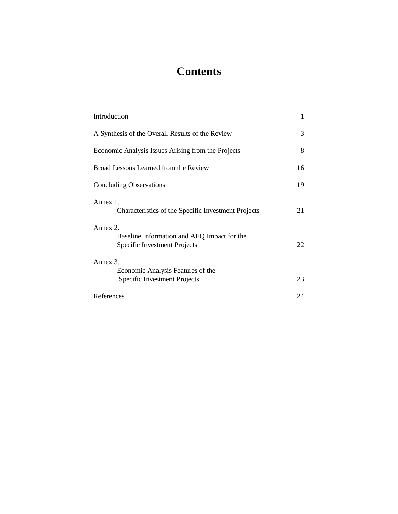# **Contents**

| Introduction                                                                            | 1  |
|-----------------------------------------------------------------------------------------|----|
| A Synthesis of the Overall Results of the Review                                        | 3  |
| Economic Analysis Issues Arising from the Projects                                      | 8  |
| Broad Lessons Learned from the Review                                                   | 16 |
| <b>Concluding Observations</b>                                                          | 19 |
| Annex 1.<br>Characteristics of the Specific Investment Projects                         | 21 |
| Annex 2.<br>Baseline Information and AEQ Impact for the<br>Specific Investment Projects | 22 |
| Annex 3.                                                                                |    |
| Economic Analysis Features of the<br>Specific Investment Projects                       | 23 |
| References                                                                              | 24 |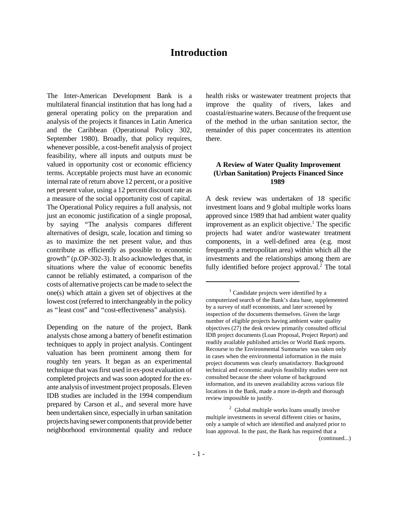### **Introduction**

The Inter-American Development Bank is a multilateral financial institution that has long had a general operating policy on the preparation and analysis of the projects it finances in Latin America and the Caribbean (Operational Policy 302, September 1980). Broadly, that policy requires, whenever possible, a cost-benefit analysis of project feasibility, where all inputs and outputs must be valued in opportunity cost or economic efficiency terms. Acceptable projects must have an economic internal rate of return above 12 percent, or a positive net present value, using a 12 percent discount rate as a measure of the social opportunity cost of capital. The Operational Policy requires a full analysis, not just an economic justification of a single proposal, by saying "The analysis compares different alternatives of design, scale, location and timing so as to maximize the net present value, and thus contribute as efficiently as possible to economic growth" (p.OP-302-3). It also acknowledges that, in situations where the value of economic benefits cannot be reliably estimated, a comparison of the costs of alternative projects can be made to select the one(s) which attain a given set of objectives at the lowest cost (referred to interchangeably in the policy as "least cost" and "cost-effectiveness" analysis).

Depending on the nature of the project, Bank analysts chose among a battery of benefit estimation techniques to apply in project analysis. Contingent valuation has been prominent among them for roughly ten years. It began as an experimental technique that was first used in ex-post evaluation of completed projects and was soon adopted for the exante analysis of investment project proposals. Eleven IDB studies are included in the 1994 compendium prepared by Carson et al., and several more have been undertaken since, especially in urban sanitation projects having sewer components that provide better neighborhood environmental quality and reduce

health risks or wastewater treatment projects that improve the quality of rivers, lakes and coastal/estuarine waters. Because of the frequent use of the method in the urban sanitation sector, the remainder of this paper concentrates its attention there.

#### **A Review of Water Quality Improvement (Urban Sanitation) Projects Financed Since 1989**

A desk review was undertaken of 18 specific investment loans and 9 global multiple works loans approved since 1989 that had ambient water quality improvement as an explicit objective.<sup>1</sup> The specific projects had water and/or wastewater treatment components, in a well-defined area (e.g. most frequently a metropolitan area) within which all the investments and the relationships among them are fully identified before project approval.<sup>2</sup> The total

 $<sup>1</sup>$  Candidate projects were identified by a</sup> computerized search of the Bank's data base, supplemented by a survey of staff economists, and later screened by inspection of the documents themselves. Given the large number of eligible projects having ambient water quality objectives (27) the desk review primarily consulted official IDB project documents (Loan Proposal, Project Report) and readily available published articles or World Bank reports. Recourse to the Environmental Summaries was taken only in cases when the environmental information in the main project documents was clearly unsatisfactory. Background technical and economic analysis feasibility studies were not consulted because the sheer volume of background information, and its uneven availability across various file locations in the Bank, made a more in-depth and thorough review impossible to justify.

<sup>&</sup>lt;sup>2</sup> Global multiple works loans usually involve multiple investments in several different cities or basins, only a sample of which are identified and analyzed prior to loan approval. In the past, the Bank has required that a (continued...)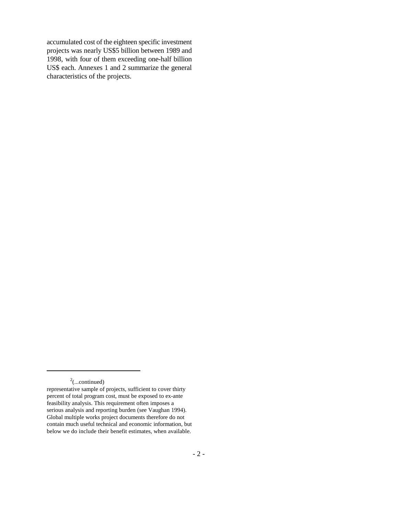accumulated cost of the eighteen specific investment projects was nearly US\$5 billion between 1989 and 1998, with four of them exceeding one-half billion US\$ each. Annexes 1 and 2 summarize the general characteristics of the projects.

 $2^2$ (...continued)

representative sample of projects, sufficient to cover thirty percent of total program cost, must be exposed to ex-ante feasibility analysis. This requirement often imposes a serious analysis and reporting burden (see Vaughan 1994). Global multiple works project documents therefore do not contain much useful technical and economic information, but below we do include their benefit estimates, when available.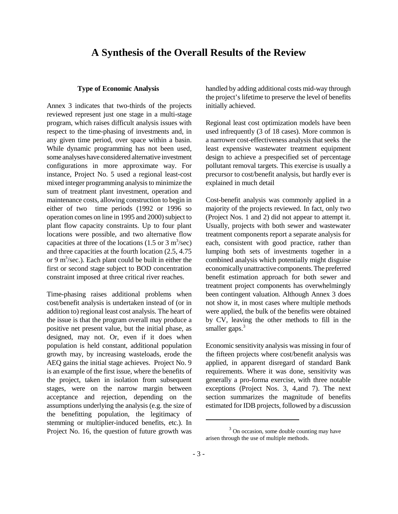### **A Synthesis of the Overall Results of the Review**

#### **Type of Economic Analysis**

Annex 3 indicates that two-thirds of the projects reviewed represent just one stage in a multi-stage program, which raises difficult analysis issues with respect to the time-phasing of investments and, in any given time period, over space within a basin. While dynamic programming has not been used, some analyses have considered alternative investment configurations in more approximate way. For instance, Project No. 5 used a regional least-cost mixed integer programming analysis to minimize the sum of treatment plant investment, operation and maintenance costs, allowing construction to begin in either of two time periods (1992 or 1996 so operation comes on line in 1995 and 2000) subject to plant flow capacity constraints. Up to four plant locations were possible, and two alternative flow capacities at three of the locations  $(1.5 \text{ or } 3 \text{ m}^3/\text{sec})$ and three capacities at the fourth location (2.5, 4.75 or 9 m<sup>3</sup>/sec.). Each plant could be built in either the first or second stage subject to BOD concentration constraint imposed at three critical river reaches.

Time-phasing raises additional problems when cost/benefit analysis is undertaken instead of (or in addition to) regional least cost analysis. The heart of the issue is that the program overall may produce a positive net present value, but the initial phase, as designed, may not. Or, even if it does when population is held constant, additional population growth may, by increasing wasteloads, erode the AEQ gains the initial stage achieves. Project No. 9 is an example of the first issue, where the benefits of the project, taken in isolation from subsequent stages, were on the narrow margin between acceptance and rejection, depending on the assumptions underlying the analysis (e.g. the size of the benefitting population, the legitimacy of stemming or multiplier-induced benefits, etc.). In Project No. 16, the question of future growth was handled by adding additional costs mid-way through the project's lifetime to preserve the level of benefits initially achieved.

Regional least cost optimization models have been used infrequently (3 of 18 cases). More common is a narrower cost-effectiveness analysis that seeks the least expensive wastewater treatment equipment design to achieve a prespecified set of percentage pollutant removal targets. This exercise is usually a precursor to cost/benefit analysis, but hardly ever is explained in much detail

Cost-benefit analysis was commonly applied in a majority of the projects reviewed. In fact, only two (Project Nos. 1 and 2) did not appear to attempt it. Usually, projects with both sewer and wastewater treatment components report a separate analysis for each, consistent with good practice, rather than lumping both sets of investments together in a combined analysis which potentially might disguise economically unattractive components. The preferred benefit estimation approach for both sewer and treatment project components has overwhelmingly been contingent valuation. Although Annex 3 does not show it, in most cases where multiple methods were applied, the bulk of the benefits were obtained by CV, leaving the other methods to fill in the smaller gaps.<sup>3</sup>

Economic sensitivity analysis was missing in four of the fifteen projects where cost/benefit analysis was applied, in apparent disregard of standard Bank requirements. Where it was done, sensitivity was generally a pro-forma exercise, with three notable exceptions (Project Nos. 3, 4,and 7). The next section summarizes the magnitude of benefits estimated for IDB projects, followed by a discussion

 $3$  On occasion, some double counting may have arisen through the use of multiple methods.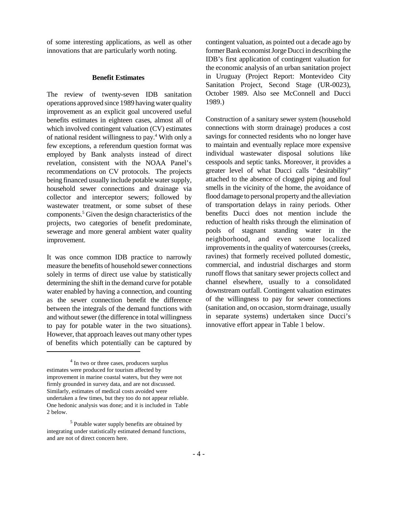of some interesting applications, as well as other innovations that are particularly worth noting.

#### **Benefit Estimates**

The review of twenty-seven IDB sanitation operations approved since 1989 having water quality improvement as an explicit goal uncovered useful benefits estimates in eighteen cases, almost all of which involved contingent valuation (CV) estimates of national resident willingness to pay.<sup>4</sup> With only a few exceptions, a referendum question format was employed by Bank analysts instead of direct revelation, consistent with the NOAA Panel's recommendations on CV protocols. The projects being financed usually include potable water supply, household sewer connections and drainage via collector and interceptor sewers; followed by wastewater treatment, or some subset of these components.<sup>5</sup> Given the design characteristics of the projects, two categories of benefit predominate, sewerage and more general ambient water quality improvement.

It was once common IDB practice to narrowly measure the benefits of household sewer connections solely in terms of direct use value by statistically determining the shift in the demand curve for potable water enabled by having a connection, and counting as the sewer connection benefit the difference between the integrals of the demand functions with and without sewer (the difference in total willingness to pay for potable water in the two situations). However, that approach leaves out many other types of benefits which potentially can be captured by

contingent valuation, as pointed out a decade ago by former Bank economist Jorge Ducci in describing the IDB's first application of contingent valuation for the economic analysis of an urban sanitation project in Uruguay (Project Report: Montevideo City Sanitation Project, Second Stage (UR-0023), October 1989. Also see McConnell and Ducci 1989.)

Construction of a sanitary sewer system (household connections with storm drainage) produces a cost savings for connected residents who no longer have to maintain and eventually replace more expensive individual wastewater disposal solutions like cesspools and septic tanks. Moreover, it provides a greater level of what Ducci calls "desirability" attached to the absence of clogged piping and foul smells in the vicinity of the home, the avoidance of flood damage to personal property and the alleviation of transportation delays in rainy periods. Other benefits Ducci does not mention include the reduction of health risks through the elimination of pools of stagnant standing water in the neighborhood, and even some localized improvements in the quality of watercourses (creeks, ravines) that formerly received polluted domestic, commercial, and industrial discharges and storm runoff flows that sanitary sewer projects collect and channel elsewhere, usually to a consolidated downstream outfall. Contingent valuation estimates of the willingness to pay for sewer connections (sanitation and, on occasion, storm drainage, usually in separate systems) undertaken since Ducci's innovative effort appear in Table 1 below.

<sup>&</sup>lt;sup>4</sup> In two or three cases, producers surplus estimates were produced for tourism affected by improvement in marine coastal waters, but they were not firmly grounded in survey data, and are not discussed. Similarly, estimates of medical costs avoided were undertaken a few times, but they too do not appear reliable. One hedonic analysis was done; and it is included in Table 2 below.

<sup>&</sup>lt;sup>5</sup> Potable water supply benefits are obtained by integrating under statistically estimated demand functions, and are not of direct concern here.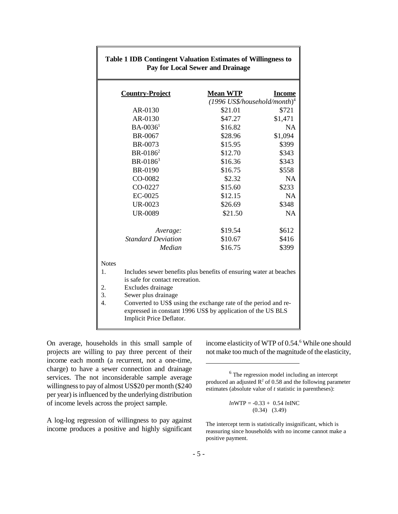| <b>Country-Project</b>                                                   | <b>Mean WTP</b>                                                                                                                 | <b>Income</b> |  |  |  |  |  |  |  |  |
|--------------------------------------------------------------------------|---------------------------------------------------------------------------------------------------------------------------------|---------------|--|--|--|--|--|--|--|--|
|                                                                          | $(1996$ US\$/household/month) <sup>4</sup>                                                                                      |               |  |  |  |  |  |  |  |  |
| AR-0130                                                                  | \$21.01                                                                                                                         | \$721         |  |  |  |  |  |  |  |  |
| AR-0130                                                                  | \$47.27                                                                                                                         | \$1,471       |  |  |  |  |  |  |  |  |
| $BA - 00361$                                                             | \$16.82                                                                                                                         | <b>NA</b>     |  |  |  |  |  |  |  |  |
| BR-0067                                                                  | \$28.96                                                                                                                         | \$1,094       |  |  |  |  |  |  |  |  |
| BR-0073                                                                  | \$15.95                                                                                                                         | \$399         |  |  |  |  |  |  |  |  |
| $BR-0186^2$                                                              | \$12.70                                                                                                                         | \$343         |  |  |  |  |  |  |  |  |
| BR-0186 <sup>3</sup>                                                     | \$16.36                                                                                                                         | \$343         |  |  |  |  |  |  |  |  |
| <b>BR-0190</b>                                                           | \$16.75                                                                                                                         | \$558         |  |  |  |  |  |  |  |  |
| CO-0082                                                                  | \$2.32                                                                                                                          | <b>NA</b>     |  |  |  |  |  |  |  |  |
| CO-0227                                                                  | \$15.60                                                                                                                         | \$233         |  |  |  |  |  |  |  |  |
| EC-0025                                                                  | \$12.15                                                                                                                         | <b>NA</b>     |  |  |  |  |  |  |  |  |
| <b>UR-0023</b>                                                           | \$26.69                                                                                                                         | \$348         |  |  |  |  |  |  |  |  |
| <b>UR-0089</b>                                                           | \$21.50                                                                                                                         | <b>NA</b>     |  |  |  |  |  |  |  |  |
| Average:                                                                 | \$19.54                                                                                                                         | \$612         |  |  |  |  |  |  |  |  |
| <b>Standard Deviation</b>                                                | \$10.67                                                                                                                         | \$416         |  |  |  |  |  |  |  |  |
| Median                                                                   | \$16.75                                                                                                                         | \$399         |  |  |  |  |  |  |  |  |
| <b>Notes</b>                                                             |                                                                                                                                 |               |  |  |  |  |  |  |  |  |
| Includes sewer benefits plus benefits of ensuring water at beaches<br>1. |                                                                                                                                 |               |  |  |  |  |  |  |  |  |
| is safe for contact recreation.                                          |                                                                                                                                 |               |  |  |  |  |  |  |  |  |
| 2.<br>Excludes drainage                                                  |                                                                                                                                 |               |  |  |  |  |  |  |  |  |
| 3.<br>Sewer plus drainage                                                |                                                                                                                                 |               |  |  |  |  |  |  |  |  |
| $\overline{4}$ .<br>Implicit Price Deflator.                             | Converted to US\$ using the exchange rate of the period and re-<br>expressed in constant 1996 US\$ by application of the US BLS |               |  |  |  |  |  |  |  |  |

#### **Table 1 IDB Contingent Valuation Estimates of Willingness to Pay for Local Sewer and Drainage**

On average, households in this small sample of projects are willing to pay three percent of their income each month (a recurrent, not a one-time, charge) to have a sewer connection and drainage services. The not inconsiderable sample average willingness to pay of almost US\$20 per month (\$240 per year) is influenced by the underlying distribution of income levels across the project sample.

A log-log regression of willingness to pay against income produces a positive and highly significant

income elasticity of WTP of 0.54.<sup>6</sup> While one should not make too much of the magnitude of the elasticity,

<sup>6</sup> The regression model including an intercept produced an adjusted  $\mathbb{R}^2$  of 0.58 and the following parameter estimates (absolute value of *t* statistic in parentheses):

$$
lnWTP = -0.33 + 0.54 lnINC
$$
  
(0.34) (3.49)

The intercept term is statistically insignificant, which is reassuring since households with no income cannot make a positive payment.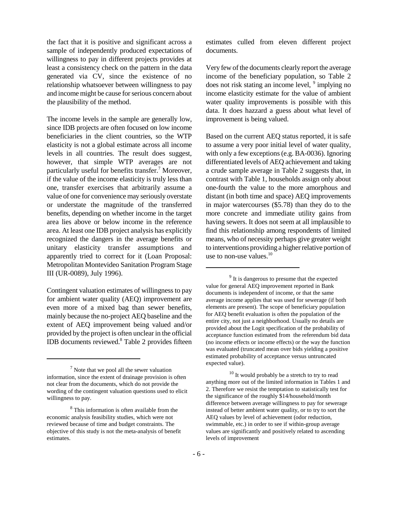the fact that it is positive and significant across a sample of independently produced expectations of willingness to pay in different projects provides at least a consistency check on the pattern in the data generated via CV, since the existence of no relationship whatsoever between willingness to pay and income might be cause for serious concern about the plausibility of the method.

The income levels in the sample are generally low, since IDB projects are often focused on low income beneficiaries in the client countries, so the WTP elasticity is not a global estimate across all income levels in all countries. The result does suggest, however, that simple WTP averages are not particularly useful for benefits transfer.<sup>7</sup> Moreover, if the value of the income elasticity is truly less than one, transfer exercises that arbitrarily assume a value of one for convenience may seriously overstate or understate the magnitude of the transferred benefits, depending on whether income in the target area lies above or below income in the reference area. At least one IDB project analysis has explicitly recognized the dangers in the average benefits or unitary elasticity transfer assumptions and apparently tried to correct for it (Loan Proposal: Metropolitan Montevideo Sanitation Program Stage III (UR-0089), July 1996).

Contingent valuation estimates of willingness to pay for ambient water quality (AEQ) improvement are even more of a mixed bag than sewer benefits, mainly because the no-project AEQ baseline and the extent of AEQ improvement being valued and/or provided by the project is often unclear in the official IDB documents reviewed.<sup>8</sup> Table 2 provides fifteen

estimates culled from eleven different project documents.

Very few of the documents clearly report the average income of the beneficiary population, so Table 2 does not risk stating an income level, <sup>9</sup> implying no income elasticity estimate for the value of ambient water quality improvements is possible with this data. It does hazzard a guess about what level of improvement is being valued.

Based on the current AEQ status reported, it is safe to assume a very poor initial level of water quality, with only a few exceptions (e.g. BA-0036). Ignoring differentiated levels of AEQ achievement and taking a crude sample average in Table 2 suggests that, in contrast with Table 1, households assign only about one-fourth the value to the more amorphous and distant (in both time and space) AEQ improvements in major watercourses (\$5.78) than they do to the more concrete and immediate utility gains from having sewers. It does not seem at all implausible to find this relationship among respondents of limited means, who of necessity perhaps give greater weight to interventions providing a higher relative portion of use to non-use values. $10$ 

<sup>9</sup> It is dangerous to presume that the expected value for general AEQ improvement reported in Bank documents is independent of income, or that the same average income applies that was used for sewerage (if both elements are present). The scope of beneficiary population for AEQ benefit evaluation is often the population of the entire city, not just a neighborhood. Usually no details are provided about the Logit specification of the probability of acceptance function estimated from the referendum bid data (no income effects or income effects) or the way the function was evaluated (truncated mean over bids yielding a positive estimated probability of acceptance versus untruncated expected value).

<sup>10</sup> It would probably be a stretch to try to read anything more out of the limited information in Tables 1 and 2. Therefore we resist the temptation to statistically test for the significance of the roughly \$14/household/month difference between average willingness to pay for sewerage instead of better ambient water quality, or to try to sort the AEQ values by level of achievement (odor reduction, swimmable, etc.) in order to see if within-group average values are significantly and positively related to ascending levels of improvement

 $<sup>7</sup>$  Note that we pool all the sewer valuation</sup> information, since the extent of drainage provision is often not clear from the documents, which do not provide the wording of the contingent valuation questions used to elicit willingness to pay.

<sup>&</sup>lt;sup>8</sup> This information is often available from the economic analysis feasibility studies, which were not reviewed because of time and budget constraints. The objective of this study is not the meta-analysis of benefit estimates.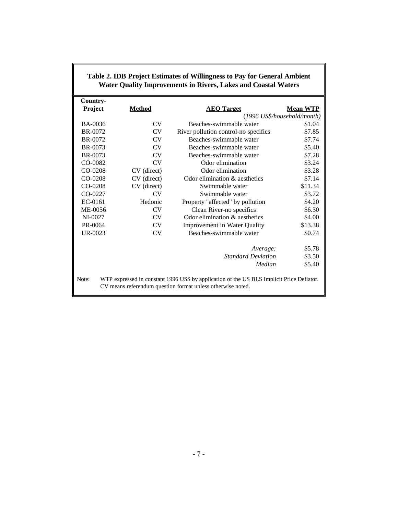|          |             | <b>Water Quality Improvements in Rivers, Lakes and Coastal Waters</b>                                                                                    |                             |
|----------|-------------|----------------------------------------------------------------------------------------------------------------------------------------------------------|-----------------------------|
| Country- |             |                                                                                                                                                          |                             |
| Project  | Method      | <b>AEQ Target</b>                                                                                                                                        | <b>Mean WTP</b>             |
|          |             |                                                                                                                                                          | (1996 US\$/household/month) |
| BA-0036  | CV.         | Beaches-swimmable water                                                                                                                                  | \$1.04                      |
| BR-0072  | CV          | River pollution control-no specifics                                                                                                                     | \$7.85                      |
| BR-0072  | <b>CV</b>   | Beaches-swimmable water                                                                                                                                  | \$7.74                      |
| BR-0073  | <b>CV</b>   | Beaches-swimmable water                                                                                                                                  | \$5.40                      |
| BR-0073  | CV.         | Beaches-swimmable water                                                                                                                                  | \$7.28                      |
| CO-0082  | CV          | Odor elimination                                                                                                                                         | \$3.24                      |
| CO-0208  | CV (direct) | Odor elimination                                                                                                                                         | \$3.28                      |
| CO-0208  | CV (direct) | Odor elimination & aesthetics                                                                                                                            | \$7.14                      |
| CO-0208  | CV (direct) | Swimmable water                                                                                                                                          | \$11.34                     |
| CO-0227  | <b>CV</b>   | Swimmable water                                                                                                                                          | \$3.72                      |
| EC-0161  | Hedonic     | Property "affected" by pollution                                                                                                                         | \$4.20                      |
| ME-0056  | CV          | Clean River-no specifics                                                                                                                                 | \$6.30                      |
| NI-0027  | <b>CV</b>   | Odor elimination & aesthetics                                                                                                                            | \$4.00                      |
| PR-0064  | <b>CV</b>   | Improvement in Water Quality                                                                                                                             | \$13.38                     |
| UR-0023  | <b>CV</b>   | Beaches-swimmable water                                                                                                                                  | \$0.74                      |
|          |             | Average:                                                                                                                                                 | \$5.78                      |
|          |             | <b>Standard Deviation</b>                                                                                                                                | \$3.50                      |
|          |             | Median                                                                                                                                                   | \$5.40                      |
| Note:    |             | WTP expressed in constant 1996 US\$ by application of the US BLS Implicit Price Deflator.<br>CV means referendum question format unless otherwise noted. |                             |

# **Table 2. IDB Project Estimates of Willingness to Pay for General Ambient**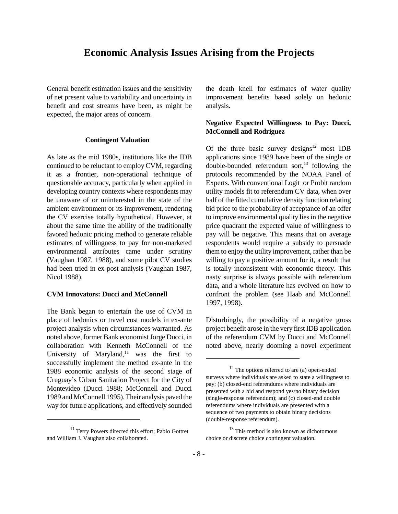### **Economic Analysis Issues Arising from the Projects**

General benefit estimation issues and the sensitivity of net present value to variability and uncertainty in benefit and cost streams have been, as might be expected, the major areas of concern.

#### **Contingent Valuation**

As late as the mid 1980s, institutions like the IDB continued to be reluctant to employ CVM, regarding it as a frontier, non-operational technique of questionable accuracy, particularly when applied in developing country contexts where respondents may be unaware of or uninterested in the state of the ambient environment or its improvement, rendering the CV exercise totally hypothetical. However, at about the same time the ability of the traditionally favored hedonic pricing method to generate reliable estimates of willingness to pay for non-marketed environmental attributes came under scrutiny (Vaughan 1987, 1988), and some pilot CV studies had been tried in ex-post analysis (Vaughan 1987, Nicol 1988).

#### **CVM Innovators: Ducci and McConnell**

The Bank began to entertain the use of CVM in place of hedonics or travel cost models in ex-ante project analysis when circumstances warranted. As noted above, former Bank economist Jorge Ducci, in collaboration with Kenneth McConnell of the University of Maryland, $11$  was the first to successfully implement the method ex-ante in the 1988 economic analysis of the second stage of Uruguay's Urban Sanitation Project for the City of Montevideo (Ducci 1988; McConnell and Ducci 1989 and McConnell 1995). Their analysis paved the way for future applications, and effectively sounded the death knell for estimates of water quality improvement benefits based solely on hedonic analysis.

#### **Negative Expected Willingness to Pay: Ducci, McConnell and Rodriguez**

Of the three basic survey designs $12$  most IDB applications since 1989 have been of the single or double-bounded referendum sort, $^{13}$  following the protocols recommended by the NOAA Panel of Experts. With conventional Logit or Probit random utility models fit to referendum CV data, when over half of the fitted cumulative density function relating bid price to the probability of acceptance of an offer to improve environmental quality lies in the negative price quadrant the expected value of willingness to pay will be negative. This means that on average respondents would require a subsidy to persuade them to enjoy the utility improvement, rather than be willing to pay a positive amount for it, a result that is totally inconsistent with economic theory. This nasty surprise is always possible with referendum data, and a whole literature has evolved on how to confront the problem (see Haab and McConnell 1997, 1998).

Disturbingly, the possibility of a negative gross project benefit arose in the very first IDB application of the referendum CVM by Ducci and McConnell noted above, nearly dooming a novel experiment

<sup>&</sup>lt;sup>11</sup> Terry Powers directed this effort; Pablo Gottret and William J. Vaughan also collaborated.

 $12$  The options referred to are (a) open-ended surveys where individuals are asked to state a willingness to pay; (b) closed-end referendums where individuals are presented with a bid and respond yes/no binary decision (single-response referendum); and (c) closed-end double referendums where individuals are presented with a sequence of two payments to obtain binary decisions (double-response referendum).

<sup>&</sup>lt;sup>13</sup> This method is also known as dichotomous choice or discrete choice contingent valuation.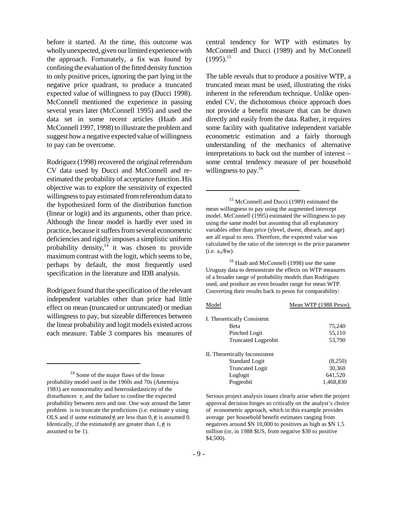before it started. At the time, this outcome was wholly unexpected, given our limited experience with the approach. Fortunately, a fix was found by confining the evaluation of the fitted density function to only positive prices, ignoring the part lying in the negative price quadrant, to produce a truncated expected value of willingness to pay (Ducci 1998). McConnell mentioned the experience in passing several years later (McConnell 1995) and used the data set in some recent articles (Haab and McConnell 1997, 1998) to illustrate the problem and suggest how a negative expected value of willingness to pay can be overcome.

Rodriguez (1998) recovered the original referendum CV data used by Ducci and McConnell and reestimated the probability of acceptance function. His objective was to explore the sensitivity of expected willingness to pay estimated from referendum data to the hypothesized form of the distribution function (linear or logit) and its arguments, other than price. Although the linear model is hardly ever used in practice, because it suffers from several econometric deficiencies and rigidly imposes a simplistic uniform probability density, $14$  it was chosen to provide maximum contrast with the logit, which seems to be, perhaps by default, the most frequently used specification in the literature and IDB analysis.

Rodriguez found that the specification of the relevant independent variables other than price had little effect on mean (truncated or untruncated) or median willingness to pay, but sizeable differences between the linear probability and logit models existed across each measure. Table 3 compares his measures of

<sup>14</sup> Some of the major flaws of the linear probability model used in the 1960s and 70s (Amemiya 1981) are nonnormality and heteroskedasticity of the disturbances  $e_i$  and the failure to confine the expected probability between zero and one. One way around the latter problem is to truncate the predictions (i.e. estimate y using OLS and if some estimated  $\hat{y}_i$  are less than 0,  $\hat{y}_i$  is assumed 0. Identically, if the estimated  $\hat{y}_i$  are greater than 1,  $\hat{y}_i$  is assumed to be 1).

central tendency for WTP with estimates by McConnell and Ducci (1989) and by McConnell  $(1995)^{15}$ 

The table reveals that to produce a positive WTP, a truncated mean must be used, illustrating the risks inherent in the referendum technique. Unlike openended CV, the dichotomous choice approach does not provide a benefit measure that can be drawn directly and easily from the data. Rather, it requires some facility with qualitative independent variable econometric estimation and a fairly thorough understanding of the mechanics of alternative interpretations to back out the number of interest – some central tendency measure of per household willingness to pay.<sup>16</sup>

<sup>15</sup> McConnell and Ducci (1989) estimated the mean willingness to pay using the augmented intercept model. McConnell (1995) estimated the willingness to pay using the same model but assuming that all explanatory variables other than price (ylevel, dwest, dbeach, and age) are all equal to zero. Therefore, the expected value was calculated by the ratio of the intercept to the price parameter (i.e.  $a_0/6w$ ).

<sup>16</sup> Haab and McConnell (1998) use the same Uruguay data to demonstrate the effects on WTP measures of a broader range of probability models than Rodriguez used, and produce an even broader range for mean WTP. Converting their results back to pesos for comparability:

### Model Mean WTP (1988 Pesos) I. Theoretically Consistent

| Beta                           | 75,240    |
|--------------------------------|-----------|
| Pinched Logit                  | 55,110    |
| <b>Truncated Logprobit</b>     | 53,790    |
| II. Theoretically Inconsistent |           |
| <b>Standard Logit</b>          | (8,250)   |
| <b>Truncated Logit</b>         | 30,360    |
| Loglogit                       | 641,520   |
| Pogprobit                      | 1,468,830 |

Serious project analysis issues clearly arise when the project approval decision hinges so critically on the analyst's choice of econometric approach, which in this example provides average per household benefit estimates ranging from negatives around \$N 10,000 to positives as high as \$N 1.5 million (or, in 1988 \$US, from negative \$30 to positive \$4,500).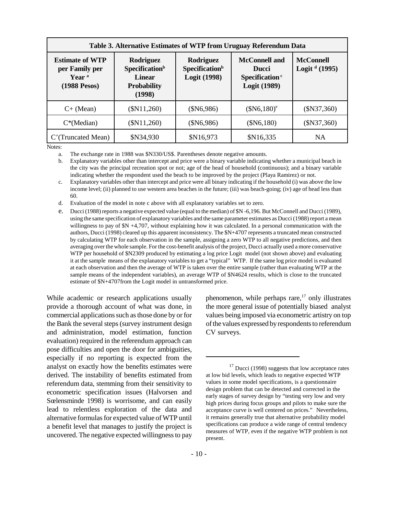| Table 3. Alternative Estimates of WTP from Uruguay Referendum Data            |                                                                                          |                                                                                                                                  |               |                                     |  |  |  |  |  |  |
|-------------------------------------------------------------------------------|------------------------------------------------------------------------------------------|----------------------------------------------------------------------------------------------------------------------------------|---------------|-------------------------------------|--|--|--|--|--|--|
| <b>Estimate of WTP</b><br>per Family per<br>Year <sup>a</sup><br>(1988 Pesos) | Rodriguez<br>Specification <sup>b</sup><br><b>Linear</b><br><b>Probability</b><br>(1998) | Rodriguez<br><b>Specification</b> <sup>b</sup><br><b>Logit (1998)</b><br>(SN11,260)<br>(\$N6,986)<br>$(\$N11,260)$<br>(\$N6,986) |               | <b>McConnell</b><br>Logit $d(1995)$ |  |  |  |  |  |  |
| $C+ (Mean)$                                                                   |                                                                                          |                                                                                                                                  | $($N6,180)^e$ | (SN37,360)                          |  |  |  |  |  |  |
| $C^*$ (Median)                                                                |                                                                                          |                                                                                                                                  | (\$N6,180)    | (SN37,360)                          |  |  |  |  |  |  |
| C'(Truncated Mean)                                                            | \$N34,930                                                                                | \$N16,973                                                                                                                        | \$N16,335     | <b>NA</b>                           |  |  |  |  |  |  |

Notes:

a. The exchange rate in 1988 was \$N330/US\$. Parentheses denote negative amounts.

b. Explanatory variables other than intercept and price were a binary variable indicating whether a municipal beach in the city was the principal recreation spot or not; age of the head of household (continuous); and a binary variable indicating whether the respondent used the beach to be improved by the project (Playa Ramirez) or not.

c. Explanatory variables other than intercept and price were all binary indicating if the household (i) was above the low income level; (ii) planned to use western area beaches in the future; (iii) was beach-going; (iv) age of head less than 60.

d. Evaluation of the model in note c above with all explanatory variables set to zero.

e. Ducci (1988) reports a negative expected value (equal to the median) of \$N -6,196. But McConnell and Ducci (1989), using the same specification of explanatory variables and the same parameter estimates as Ducci (1988) report a mean willingness to pay of  $N + 4,707$ , without explaining how it was calculated. In a personal communication with the authors, Ducci (1998) cleared up this apparent inconsistency. The \$N+4707 represents a truncated mean constructed by calculating WTP for each observation in the sample, assigning a zero WTP to all negative predictions, and then averaging over the whole sample. For the cost-benefit analysis of the project, Ducci actually used a more conservative WTP per household of \$N2309 produced by estimating a log price Logit model (not shown above) and evaluating it at the sample means of the explanatory variables to get a "typical" WTP. If the same log price model is evaluated at each observation and then the average of WTP is taken over the entire sample (rather than evaluating WTP at the sample means of the independent variables), an average WTP of \$N4624 results, which is close to the truncated estimate of \$N+4707from the Logit model in untransformed price.

While academic or research applications usually provide a thorough account of what was done, in commercial applications such as those done by or for the Bank the several steps (survey instrument design and administration, model estimation, function evaluation) required in the referendum approach can pose difficulties and open the door for ambiguities, especially if no reporting is expected from the analyst on exactly how the benefits estimates were derived. The instability of benefits estimated from referendum data, stemming from their sensitivity to econometric specification issues (Halvorsen and Sœ lensminde 1998) is worrisome, and can easily lead to relentless exploration of the data and alternative formulas for expected value of WTP until a benefit level that manages to justify the project is uncovered. The negative expected willingness to pay

phenomenon, while perhaps rare, $^{17}$  only illustrates the more general issue of potentially biased analyst values being imposed via econometric artistry on top of the values expressed by respondents to referendum CV surveys.

 $17$  Ducci (1998) suggests that low acceptance rates at low bid levels, which leads to negative expected WTP values in some model specifications, is a questionnaire design problem that can be detected and corrected in the early stages of survey design by "testing very low and very high prices during focus groups and pilots to make sure the acceptance curve is well centered on prices." Nevertheless, it remains generally true that alternative probability model specifications can produce a wide range of central tendency measures of WTP, even if the negative WTP problem is not present.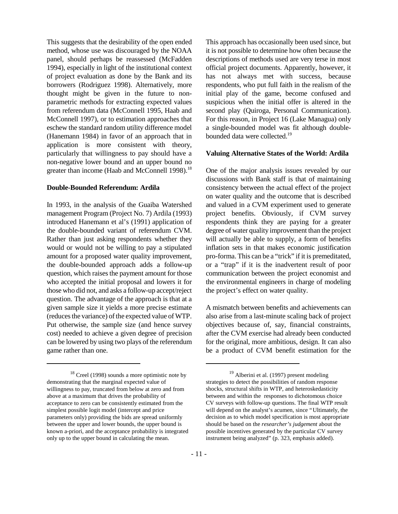This suggests that the desirability of the open ended method, whose use was discouraged by the NOAA panel, should perhaps be reassessed (McFadden 1994), especially in light of the institutional context of project evaluation as done by the Bank and its borrowers (Rodriguez 1998). Alternatively, more thought might be given in the future to nonparametric methods for extracting expected values from referendum data (McConnell 1995, Haab and McConnell 1997), or to estimation approaches that eschew the standard random utility difference model (Hanemann 1984) in favor of an approach that in application is more consistent with theory, particularly that willingness to pay should have a non-negative lower bound and an upper bound no greater than income (Haab and McConnell 1998).<sup>18</sup>

#### **Double-Bounded Referendum: Ardila**

In 1993, in the analysis of the Guaiba Watershed management Program (Project No. 7) Ardila (1993) introduced Hanemann et al's (1991) application of the double-bounded variant of referendum CVM. Rather than just asking respondents whether they would or would not be willing to pay a stipulated amount for a proposed water quality improvement, the double-bounded approach adds a follow-up question, which raises the payment amount for those who accepted the initial proposal and lowers it for those who did not, and asks a follow-up accept/reject question. The advantage of the approach is that at a given sample size it yields a more precise estimate (reduces the variance) of the expected value of WTP. Put otherwise, the sample size (and hence survey cost) needed to achieve a given degree of precision can be lowered by using two plays of the referendum game rather than one.

This approach has occasionally been used since, but it is not possible to determine how often because the descriptions of methods used are very terse in most official project documents. Apparently, however, it has not always met with success, because respondents, who put full faith in the realism of the initial play of the game, become confused and suspicious when the initial offer is altered in the second play (Quiroga, Personal Communication). For this reason, in Project 16 (Lake Managua) only a single-bounded model was fit although doublebounded data were collected.<sup>19</sup>

#### **Valuing Alternative States of the World: Ardila**

One of the major analysis issues revealed by our discussions with Bank staff is that of maintaining consistency between the actual effect of the project on water quality and the outcome that is described and valued in a CVM experiment used to generate project benefits. Obviously, if CVM survey respondents think they are paying for a greater degree of water quality improvement than the project will actually be able to supply, a form of benefits inflation sets in that makes economic justification pro-forma. This can be a "trick" if it is premeditated, or a "trap" if it is the inadvertent result of poor communication between the project economist and the environmental engineers in charge of modeling the project's effect on water quality.

A mismatch between benefits and achievements can also arise from a last-minute scaling back of project objectives because of, say, financial constraints, after the CVM exercise had already been conducted for the original, more ambitious, design. It can also be a product of CVM benefit estimation for the

 $18$  Creel (1998) sounds a more optimistic note by demonstrating that the marginal expected value of willingness to pay, truncated from below at zero and from above at a maximum that drives the probability of acceptance to zero can be consistently estimated from the simplest possible logit model (intercept and price parameters only) providing the bids are spread uniformly between the upper and lower bounds, the upper bound is known a-priori, and the acceptance probability is integrated only up to the upper bound in calculating the mean.

<sup>&</sup>lt;sup>19</sup> Alberini et al. (1997) present modeling strategies to detect the possibilities of random response shocks, structural shifts in WTP, and heteroskedasticity between and within the responses to dichotomous choice CV surveys with follow-up questions. The final WTP result will depend on the analyst's acumen, since "Ultimately, the decision as to which model specification is most appropriate should be based on the *researcher's judgement* about the possible incentives generated by the particular CV survey instrument being analyzed" (p. 323, emphasis added).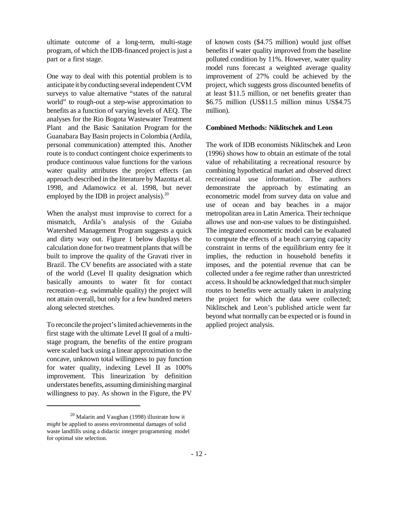ultimate outcome of a long-term, multi-stage program, of which the IDB-financed project is just a part or a first stage.

One way to deal with this potential problem is to anticipate it by conducting several independent CVM surveys to value alternative "states of the natural world" to rough-out a step-wise approximation to benefits as a function of varying levels of AEQ. The analyses for the Rio Bogota Wastewater Treatment Plant and the Basic Sanitation Program for the Guanabara Bay Basin projects in Colombia (Ardila, personal communication) attempted this. Another route is to conduct contingent choice experiments to produce continuous value functions for the various water quality attributes the project effects (an approach described in the literature by Mazotta et al. 1998, and Adamowicz et al. 1998, but never employed by the IDB in project analysis).<sup>20</sup>

When the analyst must improvise to correct for a mismatch, Ardila's analysis of the Guiaba Watershed Management Program suggests a quick and dirty way out. Figure 1 below displays the calculation done for two treatment plants that will be built to improve the quality of the Gravati river in Brazil. The CV benefits are associated with a state of the world (Level II quality designation which basically amounts to water fit for contact recreation–e.g. swimmable quality) the project will not attain overall, but only for a few hundred meters along selected stretches.

To reconcile the project's limited achievements in the first stage with the ultimate Level II goal of a multistage program, the benefits of the entire program were scaled back using a linear approximation to the concave, unknown total willingness to pay function for water quality, indexing Level II as 100% improvement. This linearization by definition understates benefits, assuming diminishing marginal willingness to pay. As shown in the Figure, the PV of known costs (\$4.75 million) would just offset benefits if water quality improved from the baseline polluted condition by 11%. However, water quality model runs forecast a weighted average quality improvement of 27% could be achieved by the project, which suggests gross discounted benefits of at least \$11.5 million, or net benefits greater than \$6.75 million (US\$11.5 million minus US\$4.75 million).

#### **Combined Methods: Niklitschek and Leon**

The work of IDB economists Niklitschek and Leon (1996) shows how to obtain an estimate of the total value of rehabilitating a recreational resource by combining hypothetical market and observed direct recreational use information. The authors demonstrate the approach by estimating an econometric model from survey data on value and use of ocean and bay beaches in a major metropolitan area in Latin America. Their technique allows use and non-use values to be distinguished. The integrated econometric model can be evaluated to compute the effects of a beach carrying capacity constraint in terms of the equilibrium entry fee it implies, the reduction in household benefits it imposes, and the potential revenue that can be collected under a fee regime rather than unrestricted access. It should be acknowledged that much simpler routes to benefits were actually taken in analyzing the project for which the data were collected; Niklitschek and Leon's published article went far beyond what normally can be expected or is found in applied project analysis.

 $20$  Malarin and Vaughan (1998) illustrate how it *might* be applied to assess environmental damages of solid waste landfills using a didactic integer programming model for optimal site selection.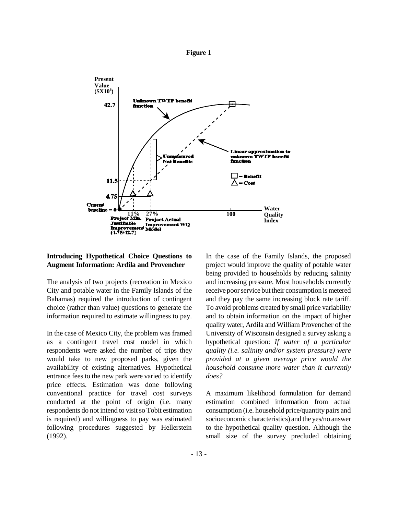



#### **Introducing Hypothetical Choice Questions to Augment Information: Ardila and Provencher**

The analysis of two projects (recreation in Mexico City and potable water in the Family Islands of the Bahamas) required the introduction of contingent choice (rather than value) questions to generate the information required to estimate willingness to pay.

In the case of Mexico City, the problem was framed as a contingent travel cost model in which respondents were asked the number of trips they would take to new proposed parks, given the availability of existing alternatives. Hypothetical entrance fees to the new park were varied to identify price effects. Estimation was done following conventional practice for travel cost surveys conducted at the point of origin (i.e. many respondents do not intend to visit so Tobit estimation is required) and willingness to pay was estimated following procedures suggested by Hellerstein (1992).

In the case of the Family Islands, the proposed project would improve the quality of potable water being provided to households by reducing salinity and increasing pressure. Most households currently receive poor service but their consumption is metered and they pay the same increasing block rate tariff. To avoid problems created by small price variability and to obtain information on the impact of higher quality water, Ardila and William Provencher of the University of Wisconsin designed a survey asking a hypothetical question: *If water of a particular quality (i.e. salinity and/or system pressure) were provided at a given average price would the household consume more water than it currently does?*

A maximum likelihood formulation for demand estimation combined information from actual consumption (i.e. household price/quantity pairs and socioeconomic characteristics) and the yes/no answer to the hypothetical quality question. Although the small size of the survey precluded obtaining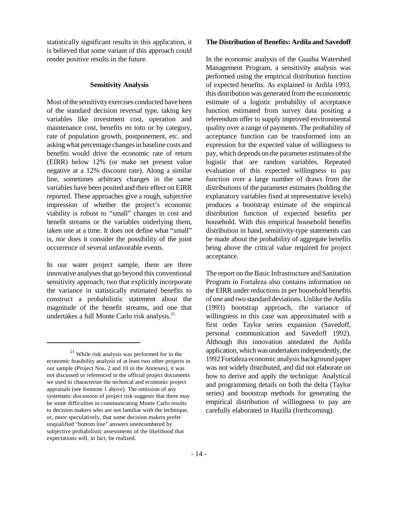statistically significant results in this application, it is believed that some variant of this approach could render positive results in the future.

#### **Sensitivity Analysis**

Most of the sensitivity exercises conducted have been of the standard decision reversal type, taking key variables like investment cost, operation and maintenance cost, benefits en toto or by category, rate of population growth, postponement, etc. and asking what percentage changes in baseline costs and benefits would drive the economic rate of return (EIRR) below 12% (or make net present value negative at a 12% discount rate). Along a similar line, sometimes arbitrary changes in the same variables have been posited and their effect on EIRR reported. These approaches give a rough, subjective impression of whether the project's economic viability is robust to "small" changes in cost and benefit streams or the variables underlying them, taken one at a time. It does not define what "small" is, nor does it consider the possibility of the joint occurrence of several unfavorable events.

In our water project sample, there are three innovative analyses that go beyond this conventional sensitivity approach; two that explicitly incorporate the variance in statistically estimated benefits to construct a probabilistic statement about the magnitude of the benefit streams, and one that undertakes a full Monte Carlo risk analysis.<sup>21</sup>

#### **The Distribution of Benefits: Ardila and Savedoff**

In the economic analysis of the Guaiba Watershed Management Program, a sensitivity analysis was performed using the empirical distribution function of expected benefits. As explained in Ardila 1993, this distribution was generated from the econometric estimate of a logistic probability of acceptance function estimated from survey data positing a referendum offer to supply improved environmental quality over a range of payments. The probability of acceptance function can be transformed into an expression for the expected value of willingness to pay, which depends on the parameter estimates of the logistic that are random variables. Repeated evaluation of this expected willingness to pay function over a large number of draws from the distributions of the parameter estimates (holding the explanatory variables fixed at representative levels) produces a bootstrap estimate of the empirical distribution function of expected benefits per household. With this empirical household benefits distribution in hand, sensitivity-type statements can be made about the probability of aggregate benefits being above the critical value required for project acceptance.

The report on the Basic Infrastructure and Sanitation Program in Fortaleza also contains information on the EIRR under reductions in per household benefits of one and two standard deviations. Unlike the Ardila (1993) bootstrap approach, the variance of willingness in this case was approximated with a first order Taylor series expansion (Savedoff, personal communication and Savedoff 1992). Although this innovation antedated the Ardila application, which was undertaken independently, the 1992 Fortaleza economic analysis background paper was not widely distributed, and did not elaborate on how to derive and apply the technique. Analytical and programming details on both the delta (Taylor series) and bootstrap methods for generating the empirical distribution of willingness to pay are carefully elaborated in Hazilla (forthcoming).

<sup>21</sup> While risk analysis was performed for in the economic feasibility analysis of at least two other projects in our sample (Project Nos. 2 and 10 in the Annexes), it was not discussed or referenced in the official project documents we used to characterize the technical and economic project appraisals (see footnote 1 above). The omission of any systematic discussion of project risk suggests that there may be some difficulties in communicating Monte Carlo results to decision makers who are not familiar with the technique, or, more speculatively, that some decision makers prefer unqualified "bottom line" answers unencumbered by subjective probabilistic assessments of the likelihood that expectations will, in fact, be realized.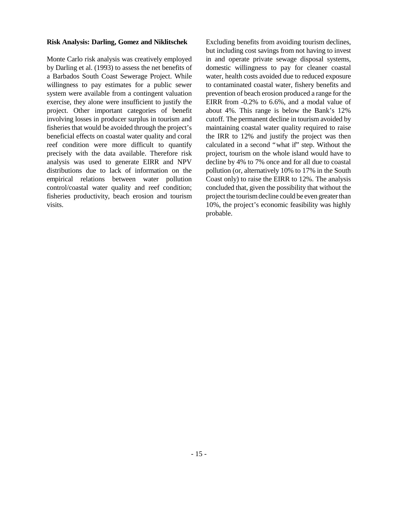#### **Risk Analysis: Darling, Gomez and Niklitschek**

Monte Carlo risk analysis was creatively employed by Darling et al. (1993) to assess the net benefits of a Barbados South Coast Sewerage Project. While willingness to pay estimates for a public sewer system were available from a contingent valuation exercise, they alone were insufficient to justify the project. Other important categories of benefit involving losses in producer surplus in tourism and fisheries that would be avoided through the project's beneficial effects on coastal water quality and coral reef condition were more difficult to quantify precisely with the data available. Therefore risk analysis was used to generate EIRR and NPV distributions due to lack of information on the empirical relations between water pollution control/coastal water quality and reef condition; fisheries productivity, beach erosion and tourism visits.

Excluding benefits from avoiding tourism declines, but including cost savings from not having to invest in and operate private sewage disposal systems, domestic willingness to pay for cleaner coastal water, health costs avoided due to reduced exposure to contaminated coastal water, fishery benefits and prevention of beach erosion produced a range for the EIRR from -0.2% to 6.6%, and a modal value of about 4%. This range is below the Bank's 12% cutoff. The permanent decline in tourism avoided by maintaining coastal water quality required to raise the IRR to 12% and justify the project was then calculated in a second "what if" step. Without the project, tourism on the whole island would have to decline by 4% to 7% once and for all due to coastal pollution (or, alternatively 10% to 17% in the South Coast only) to raise the EIRR to 12%. The analysis concluded that, given the possibility that without the project the tourism decline could be even greater than 10%, the project's economic feasibility was highly probable.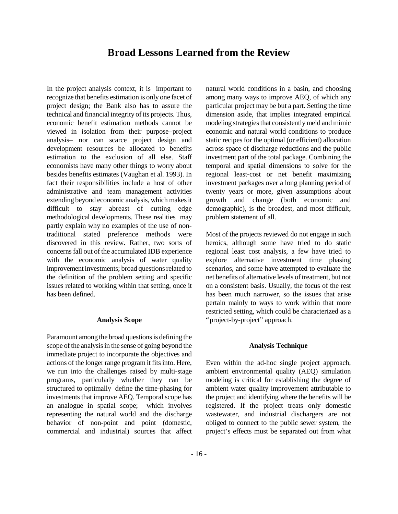### **Broad Lessons Learned from the Review**

In the project analysis context, it is important to recognize that benefits estimation is only one facet of project design; the Bank also has to assure the technical and financial integrity of its projects. Thus, economic benefit estimation methods cannot be viewed in isolation from their purpose–project analysis– nor can scarce project design and development resources be allocated to benefits estimation to the exclusion of all else. Staff economists have many other things to worry about besides benefits estimates (Vaughan et al. 1993). In fact their responsibilities include a host of other administrative and team management activities extending beyond economic analysis, which makes it difficult to stay abreast of cutting edge methodological developments. These realities may partly explain why no examples of the use of nontraditional stated preference methods were discovered in this review. Rather, two sorts of concerns fall out of the accumulated IDB experience with the economic analysis of water quality improvement investments; broad questions related to the definition of the problem setting and specific issues related to working within that setting, once it has been defined.

#### **Analysis Scope**

Paramount among the broad questions is defining the scope of the analysis in the sense of going beyond the immediate project to incorporate the objectives and actions of the longer range program it fits into. Here, we run into the challenges raised by multi-stage programs, particularly whether they can be structured to optimally define the time-phasing for investments that improve AEQ. Temporal scope has an analogue in spatial scope; which involves representing the natural world and the discharge behavior of non-point and point (domestic, commercial and industrial) sources that affect natural world conditions in a basin, and choosing among many ways to improve AEQ, of which any particular project may be but a part. Setting the time dimension aside, that implies integrated empirical modeling strategies that consistently meld and mimic economic and natural world conditions to produce static recipes for the optimal (or efficient) allocation across space of discharge reductions and the public investment part of the total package. Combining the temporal and spatial dimensions to solve for the regional least-cost or net benefit maximizing investment packages over a long planning period of twenty years or more, given assumptions about growth and change (both economic and demographic), is the broadest, and most difficult, problem statement of all.

Most of the projects reviewed do not engage in such heroics, although some have tried to do static regional least cost analysis, a few have tried to explore alternative investment time phasing scenarios, and some have attempted to evaluate the net benefits of alternative levels of treatment, but not on a consistent basis. Usually, the focus of the rest has been much narrower, so the issues that arise pertain mainly to ways to work within that more restricted setting, which could be characterized as a "project-by-project" approach.

#### **Analysis Technique**

Even within the ad-hoc single project approach, ambient environmental quality (AEQ) simulation modeling is critical for establishing the degree of ambient water quality improvement attributable to the project and identifying where the benefits will be registered. If the project treats only domestic wastewater, and industrial dischargers are not obliged to connect to the public sewer system, the project's effects must be separated out from what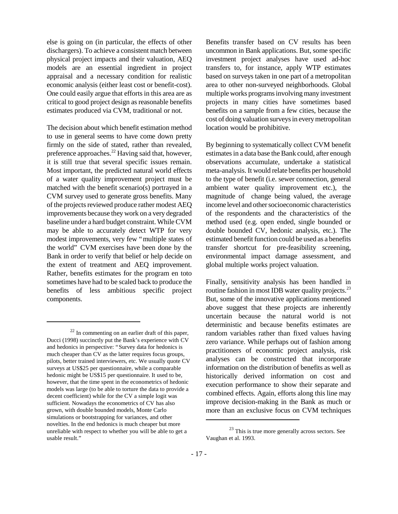else is going on (in particular, the effects of other dischargers). To achieve a consistent match between physical project impacts and their valuation, AEQ models are an essential ingredient in project appraisal and a necessary condition for realistic economic analysis (either least cost or benefit-cost). One could easily argue that efforts in this area are as critical to good project design as reasonable benefits estimates produced via CVM, traditional or not.

The decision about which benefit estimation method to use in general seems to have come down pretty firmly on the side of stated, rather than revealed, preference approaches.<sup>22</sup> Having said that, however, it is still true that several specific issues remain. Most important, the predicted natural world effects of a water quality improvement project must be matched with the benefit scenario(s) portrayed in a CVM survey used to generate gross benefits. Many of the projects reviewed produce rather modest AEQ improvements because they work on a very degraded baseline under a hard budget constraint. While CVM may be able to accurately detect WTP for very modest improvements, very few "multiple states of the world" CVM exercises have been done by the Bank in order to verify that belief or help decide on the extent of treatment and AEQ improvement. Rather, benefits estimates for the program en toto sometimes have had to be scaled back to produce the benefits of less ambitious specific project components.

Benefits transfer based on CV results has been uncommon in Bank applications. But, some specific investment project analyses have used ad-hoc transfers to, for instance, apply WTP estimates based on surveys taken in one part of a metropolitan area to other non-surveyed neighborhoods. Global multiple works programs involving many investment projects in many cities have sometimes based benefits on a sample from a few cities, because the cost of doing valuation surveys in every metropolitan location would be prohibitive.

By beginning to systematically collect CVM benefit estimates in a data base the Bank could, after enough observations accumulate, undertake a statistical meta-analysis. It would relate benefits per household to the type of benefit (i.e. sewer connection, general ambient water quality improvement etc.), the magnitude of change being valued, the average income level and other socioeconomic characteristics of the respondents and the characteristics of the method used (e.g. open ended, single bounded or double bounded CV, hedonic analysis, etc.). The estimated benefit function could be used as a benefits transfer shortcut for pre-feasibility screening, environmental impact damage assessment, and global multiple works project valuation.

Finally, sensitivity analysis has been handled in routine fashion in most IDB water quality projects.<sup>23</sup> But, some of the innovative applications mentioned above suggest that these projects are inherently uncertain because the natural world is not deterministic and because benefits estimates are random variables rather than fixed values having zero variance. While perhaps out of fashion among practitioners of economic project analysis, risk analyses can be constructed that incorporate information on the distribution of benefits as well as historically derived information on cost and execution performance to show their separate and combined effects. Again, efforts along this line may improve decision-making in the Bank as much or more than an exclusive focus on CVM techniques

 $22$  In commenting on an earlier draft of this paper, Ducci (1998) succinctly put the Bank's experience with CV and hedonics in perspective: "Survey data for hedonics is much cheaper than CV as the latter requires focus groups, pilots, better trained interviewers, etc. We usually quote CV surveys at US\$25 per questionnaire, while a comparable hedonic might be US\$15 per questionnaire. It used to be, however, that the time spent in the econometrics of hedonic models was large (to be able to torture the data to provide a decent coefficient) while for the CV a simple logit was sufficient. Nowadays the econometrics of CV has also grown, with double bounded models, Monte Carlo simulations or bootstrapping for variances, and other novelties. In the end hedonics is much cheaper but more unreliable with respect to whether you will be able to get a usable result."

 $23$  This is true more generally across sectors. See Vaughan et al. 1993.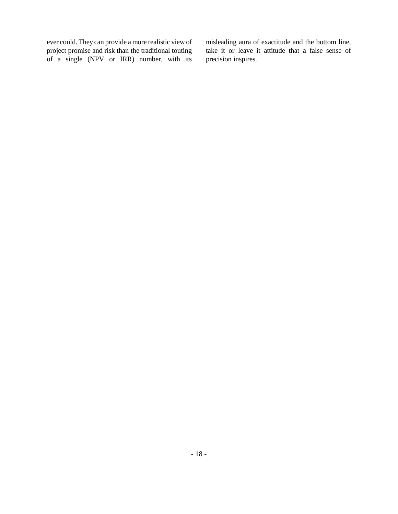ever could. They can provide a more realistic view of project promise and risk than the traditional touting of a single (NPV or IRR) number, with its

misleading aura of exactitude and the bottom line, take it or leave it attitude that a false sense of precision inspires.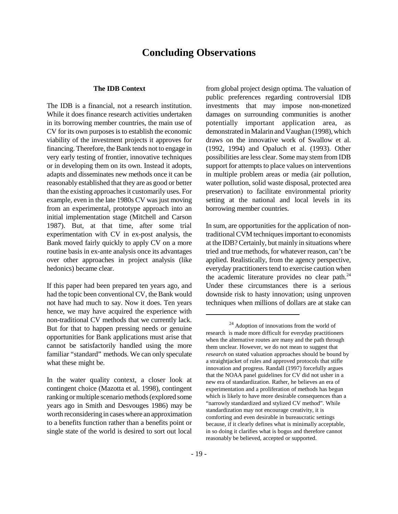### **Concluding Observations**

#### **The IDB Context**

The IDB is a financial, not a research institution. While it does finance research activities undertaken in its borrowing member countries, the main use of CV for its own purposes is to establish the economic viability of the investment projects it approves for financing. Therefore, the Bank tends not to engage in very early testing of frontier, innovative techniques or in developing them on its own. Instead it adopts, adapts and disseminates new methods once it can be reasonably established that they are as good or better than the existing approaches it customarily uses. For example, even in the late 1980s CV was just moving from an experimental, prototype approach into an initial implementation stage (Mitchell and Carson 1987). But, at that time, after some trial experimentation with CV in ex-post analysis, the Bank moved fairly quickly to apply CV on a more routine basis in ex-ante analysis once its advantages over other approaches in project analysis (like hedonics) became clear.

If this paper had been prepared ten years ago, and had the topic been conventional CV, the Bank would not have had much to say. Now it does. Ten years hence, we may have acquired the experience with non-traditional CV methods that we currently lack. But for that to happen pressing needs or genuine opportunities for Bank applications must arise that cannot be satisfactorily handled using the more familiar "standard" methods. We can only speculate what these might be.

In the water quality context, a closer look at contingent choice (Mazotta et al. 1998), contingent ranking or multiple scenario methods (explored some years ago in Smith and Desvouges 1986) may be worth reconsidering in cases where an approximation to a benefits function rather than a benefits point or single state of the world is desired to sort out local

from global project design optima. The valuation of public preferences regarding controversial IDB investments that may impose non-monetized damages on surrounding communities is another potentially important application area, as demonstrated in Malarin and Vaughan (1998), which draws on the innovative work of Swallow et al. (1992, 1994) and Opaluch et al. (1993). Other possibilities are less clear. Some may stem from IDB support for attempts to place values on interventions in multiple problem areas or media (air pollution, water pollution, solid waste disposal, protected area preservation) to facilitate environmental priority setting at the national and local levels in its borrowing member countries.

In sum, are opportunities for the application of nontraditional CVM techniques important to economists at the IDB? Certainly, but mainly in situations where tried and true methods, for whatever reason, can't be applied. Realistically, from the agency perspective, everyday practitioners tend to exercise caution when the academic literature provides no clear path.<sup>24</sup> Under these circumstances there is a serious downside risk to hasty innovation; using unproven techniques when millions of dollars are at stake can

<sup>24</sup> Adoption of innovations from the world of research is made more difficult for everyday practitioners when the alternative routes are many and the path through them unclear. However, we do not mean to suggest that *research* on stated valuation approaches should be bound by a straightjacket of rules and approved protocols that stifle innovation and progress. Randall (1997) forcefully argues that the NOAA panel guidelines for CV did not usher in a new era of standardization. Rather, he believes an era of experimentation and a proliferation of methods has begun which is likely to have more desirable consequences than a "narrowly standardized and stylized CV method". While standardization may not encourage creativity, it is comforting and even desirable in bureaucratic settings because, if it clearly defines what is minimally acceptable, in so doing it clarifies what is bogus and therefore cannot reasonably be believed, accepted or supported.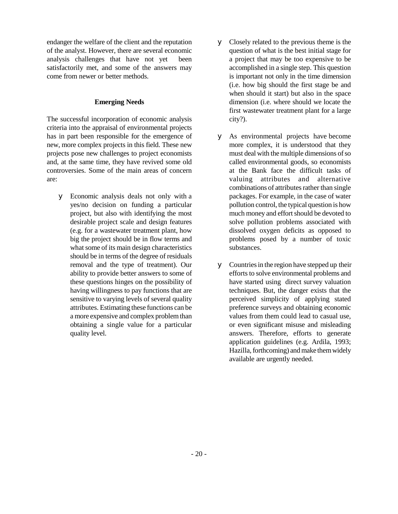endanger the welfare of the client and the reputation of the analyst. However, there are several economic analysis challenges that have not yet been satisfactorily met, and some of the answers may come from newer or better methods.

#### **Emerging Needs**

The successful incorporation of economic analysis criteria into the appraisal of environmental projects has in part been responsible for the emergence of new, more complex projects in this field. These new projects pose new challenges to project economists and, at the same time, they have revived some old controversies. Some of the main areas of concern are:

y Economic analysis deals not only with a yes/no decision on funding a particular project, but also with identifying the most desirable project scale and design features (e.g. for a wastewater treatment plant, how big the project should be in flow terms and what some of its main design characteristics should be in terms of the degree of residuals removal and the type of treatment). Our ability to provide better answers to some of these questions hinges on the possibility of having willingness to pay functions that are sensitive to varying levels of several quality attributes. Estimating these functions can be a more expensive and complex problem than obtaining a single value for a particular quality level.

- y Closely related to the previous theme is the question of what is the best initial stage for a project that may be too expensive to be accomplished in a single step. This question is important not only in the time dimension (i.e. how big should the first stage be and when should it start) but also in the space dimension (i.e. where should we locate the first wastewater treatment plant for a large city?).
- y As environmental projects have become more complex, it is understood that they must deal with the multiple dimensions of so called environmental goods, so economists at the Bank face the difficult tasks of valuing attributes and alternative combinations of attributes rather than single packages. For example, in the case of water pollution control, the typical question is how much money and effort should be devoted to solve pollution problems associated with dissolved oxygen deficits as opposed to problems posed by a number of toxic substances.
- y Countries in the region have stepped up their efforts to solve environmental problems and have started using direct survey valuation techniques. But, the danger exists that the perceived simplicity of applying stated preference surveys and obtaining economic values from them could lead to casual use, or even significant misuse and misleading answers. Therefore, efforts to generate application guidelines (e.g. Ardila, 1993; Hazilla, forthcoming) and make them widely available are urgently needed.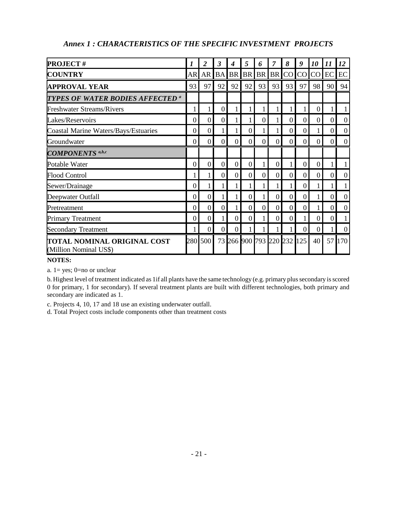| <b>PROJECT#</b>                                       |                  | 2              | 3         | 4        | 5        | 6         | 7         | 8                      | 9              | 10              | 11             | 12       |
|-------------------------------------------------------|------------------|----------------|-----------|----------|----------|-----------|-----------|------------------------|----------------|-----------------|----------------|----------|
| <b>COUNTRY</b>                                        | AR               | AR             | <b>BA</b> |          | BR BR    | <b>BR</b> | <b>BR</b> | CO <sub>1</sub>        | CO             | CO <sub>1</sub> | EC             | EC       |
| <b>APPROVAL YEAR</b>                                  | 93               | 97             | 92        | 92       | 92       | 93        | 93        | 93                     | 97             | 98              | 90             | 94       |
| TYPES OF WATER BODIES AFFECTED <sup>a</sup>           |                  |                |           |          |          |           |           |                        |                |                 |                |          |
| <b>Freshwater Streams/Rivers</b>                      | 1                |                | $\theta$  |          |          |           |           |                        |                | $\theta$        |                |          |
| Lakes/Reservoirs                                      | $\overline{0}$   | $\overline{0}$ | $\theta$  |          |          | $\Omega$  |           | $\Omega$               | $\theta$       | $\theta$        | $\overline{0}$ | $\theta$ |
| <b>Coastal Marine Waters/Bays/Estuaries</b>           | $\overline{0}$   | 0              |           |          | $\Omega$ | 1         |           | $\boldsymbol{0}$       | $\mathbf{0}$   |                 | 0              | $\theta$ |
| Groundwater                                           | $\boldsymbol{0}$ | $\overline{0}$ | $\theta$  | $\theta$ | $\Omega$ | $\Omega$  | $\theta$  | $\theta$               | $\Omega$       | $\theta$        | $\overline{0}$ | $\theta$ |
| <b>COMPONENTS</b> <sup>a,b,c</sup>                    |                  |                |           |          |          |           |           |                        |                |                 |                |          |
| Potable Water                                         | $\Omega$         | 0              | $\theta$  | $\Omega$ | 0        |           | 0         |                        | $\Omega$       | $\Omega$        |                |          |
| <b>Flood Control</b>                                  | 1                |                | $\theta$  | 0        | $\Omega$ | $\Omega$  | $\Omega$  | $\Omega$               | $\Omega$       | $\Omega$        | $\Omega$       | $\Omega$ |
| Sewer/Drainage                                        | $\theta$         |                |           |          |          |           |           | 1                      | $\Omega$       |                 |                |          |
| Deepwater Outfall                                     | $\theta$         | $\overline{0}$ |           |          | 0        |           | $\Omega$  | $\theta$               | $\overline{0}$ |                 | $\theta$       | $\Omega$ |
| Pretreatment                                          | $\Omega$         | $\overline{0}$ | $\theta$  |          | $\theta$ | $\theta$  | $\Omega$  | $\theta$               | $\Omega$       |                 | $\overline{0}$ | $\theta$ |
| <b>Primary Treatment</b>                              | $\theta$         | 0              |           | 0        | $\Omega$ |           | $\theta$  | $\Omega$               |                | $\Omega$        | $\theta$       |          |
| <b>Secondary Treatment</b>                            |                  | 0              | $\theta$  | $\theta$ |          |           |           |                        | $\theta$       | $\theta$        |                | $\Omega$ |
| TOTAL NOMINAL ORIGINAL COST<br>(Million Nominal US\$) | 280              | 500            |           |          |          |           |           | 73 266 900 793 220 232 | 125            | 40              |                | 57 170   |

### *Annex 1 : CHARACTERISTICS OF THE SPECIFIC INVESTMENT PROJECTS*

#### **NOTES:**

a. 1= yes; 0=no or unclear

b. Highest level of treatment indicated as 1if all plants have the same technology (e.g. primary plus secondary is scored 0 for primary, 1 for secondary). If several treatment plants are built with different technologies, both primary and secondary are indicated as 1.

c. Projects 4, 10, 17 and 18 use an existing underwater outfall.

d. Total Project costs include components other than treatment costs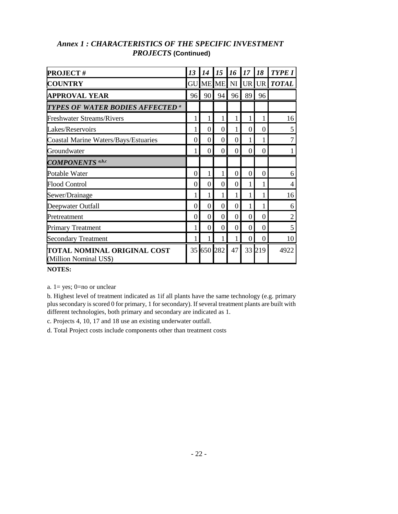| <b>PROJECT#</b>                                              | 13       | 14               | 15       | 16       | 17       | 18       | <b>TYPE I</b>           |
|--------------------------------------------------------------|----------|------------------|----------|----------|----------|----------|-------------------------|
| <b>COUNTRY</b>                                               |          |                  |          |          |          |          | GU ME ME NI UR UR TOTAL |
| <b>APPROVAL YEAR</b>                                         | 96       | 90               | 94       | 96       | 89       | 96       |                         |
| <b>TYPES OF WATER BODIES AFFECTED a</b>                      |          |                  |          |          |          |          |                         |
| <b>Freshwater Streams/Rivers</b>                             | 1        |                  |          |          |          |          | 16                      |
| Lakes/Reservoirs                                             |          | $\left( \right)$ | $\Omega$ |          | $\Omega$ | $\theta$ | 5                       |
| <b>Coastal Marine Waters/Bays/Estuaries</b>                  | $\theta$ | 0                | $\theta$ | $\Omega$ |          |          | 7                       |
| Groundwater                                                  |          | $\theta$         | $\Omega$ | $\theta$ | $\Omega$ | $\theta$ |                         |
| <b>COMPONENTS</b> a,b,c                                      |          |                  |          |          |          |          |                         |
| Potable Water                                                | $\Omega$ |                  |          | $\Omega$ | $\Omega$ | 0        | 6                       |
| <b>Flood Control</b>                                         | $\Omega$ | $\Omega$         | 0        | $\theta$ |          |          | 4                       |
| Sewer/Drainage                                               | 1        |                  |          |          |          |          | 16                      |
| Deepwater Outfall                                            | $\theta$ | $\Omega$         | 0        | $\theta$ |          |          | 6                       |
| Pretreatment                                                 | $\Omega$ | $\Omega$         | $\Omega$ | $\Omega$ | $\Omega$ | $\Omega$ | $\overline{2}$          |
| <b>Primary Treatment</b>                                     |          | $\Omega$         | $\Omega$ | $\Omega$ | $\Omega$ | 0        | 5                       |
| <b>Secondary Treatment</b>                                   |          |                  |          |          | $\Omega$ | $\Omega$ | 10                      |
| <b>TOTAL NOMINAL ORIGINAL COST</b><br>(Million Nominal US\$) |          | 35 650 282       |          | 47       |          | 33 219   | 4922                    |

### *Annex 1 : CHARACTERISTICS OF THE SPECIFIC INVESTMENT PROJECTS* **(Continued)**

#### **NOTES:**

a. 1= yes; 0=no or unclear

b. Highest level of treatment indicated as 1if all plants have the same technology (e.g. primary plus secondary is scored 0 for primary, 1 for secondary). If several treatment plants are built with different technologies, both primary and secondary are indicated as 1.

c. Projects 4, 10, 17 and 18 use an existing underwater outfall.

d. Total Project costs include components other than treatment costs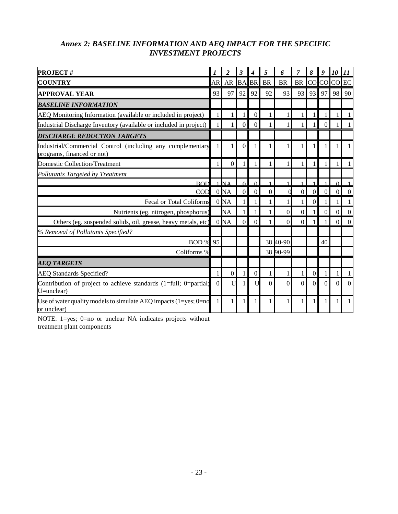### *Annex 2: BASELINE INFORMATION AND AEQ IMPACT FOR THE SPECIFIC INVESTMENT PROJECTS*

| <b>PROJECT#</b>                                                                          | 1        | $\overline{c}$  | 3                | 4              | 5              | 6         | 7            | 8                | 9                | 10             | 11               |
|------------------------------------------------------------------------------------------|----------|-----------------|------------------|----------------|----------------|-----------|--------------|------------------|------------------|----------------|------------------|
| <b>COUNTRY</b>                                                                           | AR       | AR BABR         |                  |                | <b>BR</b>      | <b>BR</b> | <b>BR</b>    |                  | CO <sub>CO</sub> | CO             | $\rm EC$         |
| <b>APPROVAL YEAR</b>                                                                     | 93       | 97              | 92               | 92             | 92             | 93        | 93           | 93               | 97               | 98             | 90               |
| <b>BASELINE INFORMATION</b>                                                              |          |                 |                  |                |                |           |              |                  |                  |                |                  |
| AEQ Monitoring Information (available or included in project)                            |          | 1               |                  | $\overline{0}$ |                |           |              |                  |                  |                |                  |
| Industrial Discharge Inventory (available or included in project)                        |          | 1               | 0                | $\mathbf{0}$   |                |           |              |                  | $\overline{0}$   |                |                  |
| <b>DISCHARGE REDUCTION TARGETS</b>                                                       |          |                 |                  |                |                |           |              |                  |                  |                |                  |
| Industrial/Commercial Control (including any complementary<br>programs, financed or not) |          | 1               | $\theta$         |                |                |           |              |                  | 1                |                |                  |
| <b>Domestic Collection/Treatment</b>                                                     |          | $\overline{0}$  |                  |                |                |           |              |                  |                  |                |                  |
| Pollutants Targeted by Treatment                                                         |          |                 |                  |                |                |           |              |                  |                  |                |                  |
| <b>ROD</b>                                                                               |          | $1$ N $\Delta$  | $\Omega$         | $\Omega$       |                |           |              |                  |                  | $\Omega$       |                  |
| COD                                                                                      |          | 0 <sub>NA</sub> | $\boldsymbol{0}$ | $\overline{0}$ | $\overline{0}$ |           | $\mathbf{0}$ | $\boldsymbol{0}$ | $\mathbf{0}$     | $\overline{0}$ | $\overline{0}$   |
| <b>Fecal or Total Coliforms</b>                                                          |          | 0 <sub>NA</sub> |                  |                |                |           |              | $\Omega$         |                  |                |                  |
| Nutrients (eg. nitrogen, phosphorus)                                                     |          | <b>NA</b>       |                  |                |                | $\Omega$  | $\theta$     |                  | $\theta$         | $\Omega$       | $\boldsymbol{0}$ |
| Others (eg. suspended solids, oil, grease, heavy metals, etc)                            |          | 0 <sub>NA</sub> | $\Omega$         | $\Omega$       |                | $\Omega$  | $\theta$     |                  |                  | 0              | $\overline{0}$   |
| % Removal of Pollutants Specified?                                                       |          |                 |                  |                |                |           |              |                  |                  |                |                  |
| <b>BOD % 95</b>                                                                          |          |                 |                  |                |                | 38 40-90  |              |                  | 40               |                |                  |
| Coliforms %                                                                              |          |                 |                  |                |                | 38 90-99  |              |                  |                  |                |                  |
| <b>AEO TARGETS</b>                                                                       |          |                 |                  |                |                |           |              |                  |                  |                |                  |
| <b>AEQ Standards Specified?</b>                                                          |          | $\overline{0}$  |                  | $\Omega$       |                |           |              | $\Omega$         |                  |                |                  |
| Contribution of project to achieve standards (1=full; 0=partial;<br>$U=$ unclear)        | $\Omega$ | U               |                  |                | 0              | 0         | $\theta$     | $\Omega$         | $\Omega$         | $\Omega$       | $\Omega$         |
| Use of water quality models to simulate AEQ impacts $(1 = yes; 0 = no$<br>or unclear)    |          | 1               |                  |                |                |           |              |                  |                  |                |                  |

NOTE: 1=yes; 0=no or unclear NA indicates projects without treatment plant components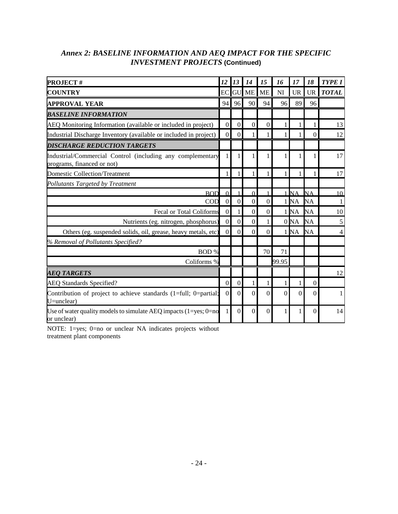### *Annex 2: BASELINE INFORMATION AND AEQ IMPACT FOR THE SPECIFIC INVESTMENT PROJECTS* **(Continued)**

| <b>PROJECT#</b>                                                                          | 12               | 13             | 14             | 15             | 16           | 17                | 18        | <b>TYPE I</b>  |
|------------------------------------------------------------------------------------------|------------------|----------------|----------------|----------------|--------------|-------------------|-----------|----------------|
| <b>COUNTRY</b>                                                                           | EC               |                | <b>GU ME</b>   | ME             | NI           | <b>UR</b>         |           | UR TOTAL       |
| <b>APPROVAL YEAR</b>                                                                     | 94               | 96             | 90             | 94             | 96           | 89                | 96        |                |
| <b>BASELINE INFORMATION</b>                                                              |                  |                |                |                |              |                   |           |                |
| AEQ Monitoring Information (available or included in project)                            | $\overline{0}$   | $\overline{0}$ | $\overline{0}$ | $\overline{0}$ | 1            | 1                 |           | 13             |
| Industrial Discharge Inventory (available or included in project)                        | $\overline{0}$   | $\Omega$       |                |                |              |                   | $\Omega$  | 12             |
| DISCHARGE REDUCTION TARGETS                                                              |                  |                |                |                |              |                   |           |                |
| Industrial/Commercial Control (including any complementary<br>programs, financed or not) | 1                | 1              |                |                | 1            | 1                 |           | 17             |
| <b>Domestic Collection/Treatment</b>                                                     | 1                | 1              | 1              |                | 1            | 1                 |           | 17             |
| Pollutants Targeted by Treatment                                                         |                  |                |                |                |              |                   |           |                |
| <b>BOD</b>                                                                               | $\Omega$         | $\mathbf{1}$   | $\Omega$       |                |              | $1$ <sub>NA</sub> | NA        | 10             |
| COD                                                                                      | $\boldsymbol{0}$ | $\overline{0}$ | $\mathbf{0}$   | $\overline{0}$ |              | 1 <sub>NA</sub>   | <b>NA</b> | 1              |
| <b>Fecal or Total Coliforms</b>                                                          | $\boldsymbol{0}$ | 1              | $\mathbf{0}$   | $\overline{0}$ |              | 1 <sub>NA</sub>   | <b>NA</b> | 10             |
| Nutrients (eg. nitrogen, phosphorus)                                                     | $\boldsymbol{0}$ | $\overline{0}$ | $\mathbf{0}$   | 1              |              | 0 <sub>NA</sub>   | <b>NA</b> | 5              |
| Others (eg. suspended solids, oil, grease, heavy metals, etc)                            | $\overline{0}$   | $\Omega$       | $\Omega$       | $\Omega$       |              | 1 <sub>NA</sub>   | <b>NA</b> | $\overline{4}$ |
| % Removal of Pollutants Specified?                                                       |                  |                |                |                |              |                   |           |                |
| BOD %                                                                                    |                  |                |                | 70             | 71           |                   |           |                |
| Coliforms %                                                                              |                  |                |                |                | 99.95        |                   |           |                |
| <b>AEO TARGETS</b>                                                                       |                  |                |                |                |              |                   |           | 12             |
| <b>AEQ Standards Specified?</b>                                                          | $\overline{0}$   | $\overline{0}$ | 1              | 1              | $\mathbf{1}$ | 1                 | $\Omega$  |                |
| Contribution of project to achieve standards (1=full; 0=partial;<br>$U=$ unclear)        | $\Omega$         | $\Omega$       | $\Omega$       | $\Omega$       | $\Omega$     | $\Omega$          | $\Omega$  | 1              |
| Use of water quality models to simulate AEQ impacts $(1 = yes; 0 = no$<br>or unclear)    |                  | $\Omega$       | $\theta$       | $\Omega$       |              |                   | $\Omega$  | 14             |

NOTE: 1=yes; 0=no or unclear NA indicates projects without treatment plant components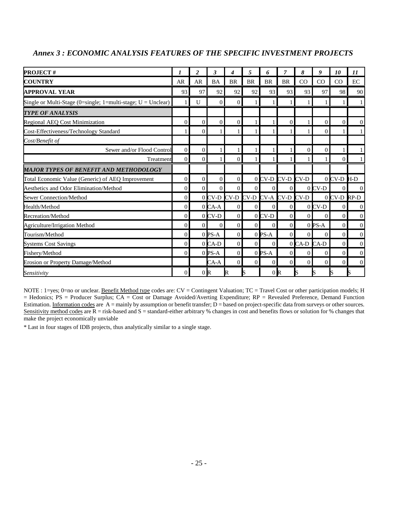| <b>PROJECT#</b>                                                | 7              | $\overline{2}$ | 3              | 4                  | 5         | 6                | 7              | 8              | $\boldsymbol{g}$ | 10              | $\boldsymbol{\mathit{11}}$ |
|----------------------------------------------------------------|----------------|----------------|----------------|--------------------|-----------|------------------|----------------|----------------|------------------|-----------------|----------------------------|
| <b>COUNTRY</b>                                                 | AR             | <b>AR</b>      | <b>BA</b>      | <b>BR</b>          | <b>BR</b> | <b>BR</b>        | <b>BR</b>      | CO             | CO               | CO              | $\rm EC$                   |
| <b>APPROVAL YEAR</b>                                           | 93             | 97             | 92             | 92                 | 92        | 93               | 93             | 93             | 97               | 98              | 90                         |
| Single or Multi-Stage (0=single; 1=multi-stage; $U =$ Unclear) |                | U              | $\Omega$       | $\overline{0}$     |           |                  |                |                |                  |                 | $\mathbf{1}$               |
| TYPE OF ANALYSIS                                               |                |                |                |                    |           |                  |                |                |                  |                 |                            |
| <b>Regional AEQ Cost Minimization</b>                          | $\Omega$       | $\Omega$       | $\Omega$       | $\Omega$           |           |                  | 0              |                | $\Omega$         | $\overline{0}$  | $\mathbf{0}$               |
| Cost-Effectiveness/Technology Standard                         |                | $\Omega$       |                |                    |           |                  |                |                | $\Omega$         |                 | $\mathbf{1}$               |
| Cost/Benefit of                                                |                |                |                |                    |           |                  |                |                |                  |                 |                            |
| Sewer and/or Flood Control                                     | $\overline{0}$ | $\overline{0}$ |                |                    |           |                  |                | $\theta$       | $\Omega$         |                 | $\mathbf{1}$               |
| Treatment                                                      | $\Omega$       | $\Omega$       |                | $\Omega$           |           |                  |                |                |                  | $\Omega$        | $\mathbf{1}$               |
| MAJOR TYPES OF BENEFIT AND METHODOLOGY                         |                |                |                |                    |           |                  |                |                |                  |                 |                            |
| Total Economic Value (Generic) of AEQ Improvement              | $\overline{0}$ | $\overline{0}$ | $\overline{0}$ | $\overline{0}$     |           | 0 CV-D CV-D CV-D |                |                |                  | $0$ CV-D $H$ -D |                            |
| Aesthetics and Odor Elimination/Method                         | $\Omega$       | $\Omega$       | $\Omega$       | $\Omega$           | $\Omega$  | $\overline{0}$   | $\overline{0}$ |                | $0$ CV-D         | $\Omega$        | $\mathbf{0}$               |
| <b>Sewer Connection/Method</b>                                 | $\Omega$       |                |                | $0$ CV-D CV-D CV-D |           | CV-A CV-D CV-D   |                |                |                  | $0$ CV-D        | RP-D                       |
| Health/Method                                                  | $\Omega$       |                | $0$ CA-A       | $\overline{0}$     | $\Omega$  | $\Omega$         | $\overline{0}$ |                | $0CV-D$          | $\Omega$        | $\mathbf{0}$               |
| <b>Recreation/Method</b>                                       | $\Omega$       |                | $0$ CV-D       | $\Omega$           |           | $0$ CV-D         | $\Omega$       | $\Omega$       | $\Omega$         | $\Omega$        | $\overline{0}$             |
| Agriculture/Irrigation Method                                  | $\Omega$       | $\Omega$       | $\Omega$       | $\Omega$           | 0         | $\Omega$         | $\Omega$       |                | $0$ PS-A         | $\overline{0}$  | $\overline{0}$             |
| Tourism/Method                                                 | $\Omega$       |                | $0$ PS-A       | $\Omega$           |           | $0$ PS-A         | $\Omega$       | $\Omega$       | $\Omega$         | $\Omega$        | $\overline{0}$             |
| <b>Systems Cost Savings</b>                                    | $\Omega$       |                | $0$ CA-D       | $\Omega$           | $\Omega$  | $\theta$         |                | 0 CA-D CA-D    |                  | $\Omega$        | $\mathbf{0}$               |
| Fishery/Method                                                 | $\Omega$       |                | $0$ PS-A       | $\overline{0}$     |           | $0$ PS-A         | $\Omega$       | $\overline{0}$ | $\Omega$         | $\overline{0}$  | $\overline{0}$             |
| <b>Erosion or Property Damage/Method</b>                       |                |                | $CA-A$         | $\Omega$           | $\Omega$  | $\Omega$         | $\Omega$       | $\Omega$       | $\Omega$         | $\Omega$        | $\overline{0}$             |
| <b>Sensitivity</b>                                             | $\Omega$       | 0 <sub>R</sub> |                | R                  |           | 0 <sub>R</sub>   |                | S              |                  |                 |                            |

#### *Annex 3 : ECONOMIC ANALYSIS FEATURES OF THE SPECIFIC INVESTMENT PROJECTS*

NOTE : 1=yes; 0=no or unclear. Benefit Method type codes are: CV = Contingent Valuation; TC = Travel Cost or other participation models; H = Hedonics; PS = Producer Surplus; CA = Cost or Damage Avoided/Averting Expenditure; RP = Revealed Preference, Demand Function Estimation. Information codes are  $\overrightarrow{A}$  = mainly by assumption or benefit transfer;  $\overrightarrow{D}$  = based on project-specific data from surveys or other sources. Sensitivity method codes are  $\overline{R}$  = risk-based and S = standard-either arbitrary % changes in cost and benefits flows or solution for % changes that make the project economically unviable

\* Last in four stages of IDB projects, thus analytically similar to a single stage.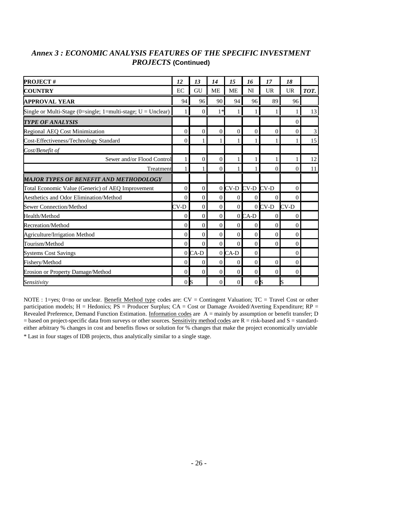| <b>PROJECT#</b>                                                | 12             | 13             | 14           | 15             | 16               | 17           | 18             |      |
|----------------------------------------------------------------|----------------|----------------|--------------|----------------|------------------|--------------|----------------|------|
| <b>COUNTRY</b>                                                 | EC             | GU             | <b>ME</b>    | <b>ME</b>      | NI               | <b>UR</b>    | <b>UR</b>      | TOT. |
| <b>APPROVAL YEAR</b>                                           | 94             | 96             | 90           | 94             | 96               | 89           | 96             |      |
| Single or Multi-Stage (0=single; 1=multi-stage; $U =$ Unclear) |                | $\Omega$       | $1*$         | 1              |                  |              |                | 13   |
| <b>TYPE OF ANALYSIS</b>                                        |                |                |              |                |                  |              | $\Omega$       |      |
| <b>Regional AEQ Cost Minimization</b>                          | $\Omega$       | $\overline{0}$ | $\Omega$     | $\overline{0}$ | $\Omega$         | $\mathbf{0}$ | 0              | 3    |
| Cost-Effectiveness/Technology Standard                         | $\Omega$       |                |              | 1              |                  |              |                | 15   |
| Cost/Benefit of                                                |                |                |              |                |                  |              |                |      |
| Sewer and/or Flood Control                                     |                | $\overline{0}$ | $\mathbf{0}$ | 1              |                  |              |                | 12   |
| Treatment                                                      |                |                | $\Omega$     | 1              |                  | $\Omega$     | 0              | 11   |
| <b>MAJOR TYPES OF BENEFIT AND METHODOLOGY</b>                  |                |                |              |                |                  |              |                |      |
| Total Economic Value (Generic) of AEO Improvement              | $\Omega$       | $\overline{0}$ |              |                | 0 CV-D CV-D CV-D |              | $\Omega$       |      |
| <b>Aesthetics and Odor Elimination/Method</b>                  | $\Omega$       | $\overline{0}$ | $\Omega$     | $\mathbf{0}$   | $\overline{0}$   | $\Omega$     | $\Omega$       |      |
| <b>Sewer Connection/Method</b>                                 | $CV-D$         | $\Omega$       | $\Omega$     | $\Omega$       |                  | $0$ CV-D     | $CV-D$         |      |
| Health/Method                                                  | $\Omega$       | $\theta$       | $\Omega$     |                | $0$ CA-D         | $\Omega$     | $\Omega$       |      |
| <b>Recreation/Method</b>                                       | $\Omega$       | $\Omega$       | $\Omega$     | $\Omega$       | $\Omega$         | $\Omega$     | $\Omega$       |      |
| Agriculture/Irrigation Method                                  | $\Omega$       | $\Omega$       | $\Omega$     | $\Omega$       | $\Omega$         | $\Omega$     | $\Omega$       |      |
| Tourism/Method                                                 | $\Omega$       | $\Omega$       | $\Omega$     | $\Omega$       | $\theta$         | $\Omega$     | $\Omega$       |      |
| <b>Systems Cost Savings</b>                                    |                | $0$ CA-D       |              | $0$ CA-D       | $\Omega$         |              | $\overline{0}$ |      |
| Fishery/Method                                                 | $\Omega$       | $\Omega$       | $\Omega$     | $\Omega$       | $\theta$         | $\Omega$     | $\Omega$       |      |
| Erosion or Property Damage/Method                              | $\Omega$       | $\Omega$       | $\Omega$     | $\Omega$       | $\Omega$         | $\Omega$     | $\Omega$       |      |
| Sensitivity                                                    | 0 <sub>l</sub> |                | $\Omega$     | $\Omega$       | 0 <sub>l</sub>   |              |                |      |

#### *Annex 3 : ECONOMIC ANALYSIS FEATURES OF THE SPECIFIC INVESTMENT PROJECTS* **(Continued)**

NOTE : 1=yes; 0=no or unclear. Benefit Method type codes are: CV = Contingent Valuation; TC = Travel Cost or other participation models; H = Hedonics; PS = Producer Surplus; CA = Cost or Damage Avoided/Averting Expenditure; RP = Revealed Preference, Demand Function Estimation. Information codes are A = mainly by assumption or benefit transfer; D = based on project-specific data from surveys or other sources. Sensitivity method codes are R = risk-based and S = standardeither arbitrary % changes in cost and benefits flows or solution for % changes that make the project economically unviable \* Last in four stages of IDB projects, thus analytically similar to a single stage.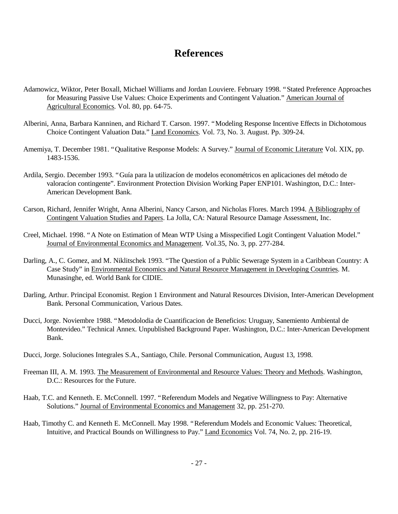### **References**

- Adamowicz, Wiktor, Peter Boxall, Michael Williams and Jordan Louviere. February 1998. "Stated Preference Approaches for Measuring Passive Use Values: Choice Experiments and Contingent Valuation." American Journal of Agricultural Economics. Vol. 80, pp. 64-75.
- Alberini, Anna, Barbara Kanninen, and Richard T. Carson. 1997. "Modeling Response Incentive Effects in Dichotomous Choice Contingent Valuation Data." Land Economics. Vol. 73, No. 3. August. Pp. 309-24.
- Amemiya, T. December 1981. "Qualitative Response Models: A Survey." Journal of Economic Literature Vol. XIX, pp. 1483-1536.
- Ardila, Sergio. December 1993. "Guía para la utilizacíon de modelos econométricos en aplicaciones del método de valoracíon contingente". Environment Protection Division Working Paper ENP101. Washington, D.C.: Inter-American Development Bank.
- Carson, Richard, Jennifer Wright, Anna Alberini, Nancy Carson, and Nicholas Flores. March 1994. A Bibliography of Contingent Valuation Studies and Papers. La Jolla, CA: Natural Resource Damage Assessment, Inc.
- Creel, Michael. 1998. "A Note on Estimation of Mean WTP Using a Misspecified Logit Contingent Valuation Model." Journal of Environmental Economics and Management. Vol.35, No. 3, pp. 277-284.
- Darling, A., C. Gomez, and M. Niklitschek 1993. "The Question of a Public Sewerage System in a Caribbean Country: A Case Study" in Environmental Economics and Natural Resource Management in Developing Countries. M. Munasinghe, ed. World Bank for CIDIE.
- Darling, Arthur. Principal Economist. Region 1 Environment and Natural Resources Division, Inter-American Development Bank. Personal Communication, Various Dates.
- Ducci, Jorge. Noviembre 1988. "Metodolodia de Cuantificacion de Beneficios: Uruguay, Sanemiento Ambiental de Montevideo." Technical Annex. Unpublished Background Paper. Washington, D.C.: Inter-American Development Bank.
- Ducci, Jorge. Soluciones Integrales S.A., Santiago, Chile. Personal Communication, August 13, 1998.
- Freeman III, A. M. 1993. The Measurement of Environmental and Resource Values: Theory and Methods. Washington, D.C.: Resources for the Future.
- Haab, T.C. and Kenneth. E. McConnell. 1997. "Referendum Models and Negative Willingness to Pay: Alternative Solutions." Journal of Environmental Economics and Management 32, pp. 251-270.
- Haab, Timothy C. and Kenneth E. McConnell. May 1998. "Referendum Models and Economic Values: Theoretical, Intuitive, and Practical Bounds on Willingness to Pay." Land Economics Vol. 74, No. 2, pp. 216-19.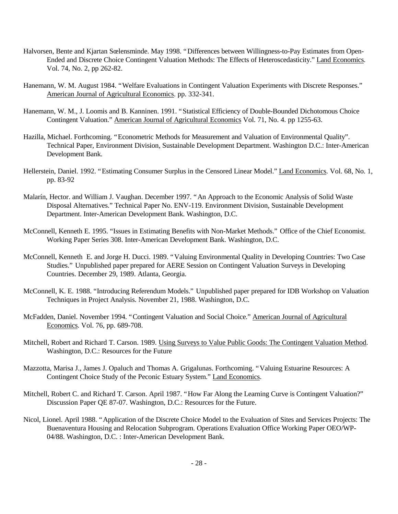- Halvorsen, Bente and Kjartan Sœlensminde. May 1998. "Differences between Willingness-to-Pay Estimates from Open-Ended and Discrete Choice Contingent Valuation Methods: The Effects of Heteroscedasticity." Land Economics. Vol. 74, No. 2, pp 262-82.
- Hanemann, W. M. August 1984. "Welfare Evaluations in Contingent Valuation Experiments with Discrete Responses." American Journal of Agricultural Economics. pp. 332-341.
- Hanemann, W. M., J. Loomis and B. Kanninen. 1991. "Statistical Efficiency of Double-Bounded Dichotomous Choice Contingent Valuation." American Journal of Agricultural Economics Vol. 71, No. 4. pp 1255-63.
- Hazilla, Michael. Forthcoming. "Econometric Methods for Measurement and Valuation of Environmental Quality". Technical Paper, Environment Division, Sustainable Development Department. Washington D.C.: Inter-American Development Bank.
- Hellerstein, Daniel. 1992. "Estimating Consumer Surplus in the Censored Linear Model." Land Economics. Vol. 68, No. 1, pp. 83-92
- Malarín, Hector. and William J. Vaughan. December 1997. "An Approach to the Economic Analysis of Solid Waste Disposal Alternatives." Technical Paper No. ENV-119. Environment Division, Sustainable Development Department. Inter-American Development Bank. Washington, D.C.
- McConnell, Kenneth E. 1995. "Issues in Estimating Benefits with Non-Market Methods." Office of the Chief Economist. Working Paper Series 308. Inter-American Development Bank. Washington, D.C.
- McConnell, Kenneth E. and Jorge H. Ducci. 1989. "Valuing Environmental Quality in Developing Countries: Two Case Studies." Unpublished paper prepared for AERE Session on Contingent Valuation Surveys in Developing Countries. December 29, 1989. Atlanta, Georgia.
- McConnell, K. E. 1988. "Introducing Referendum Models." Unpublished paper prepared for IDB Workshop on Valuation Techniques in Project Analysis. November 21, 1988. Washington, D.C.
- McFadden, Daniel. November 1994. "Contingent Valuation and Social Choice." American Journal of Agricultural Economics. Vol. 76, pp. 689-708.
- Mitchell, Robert and Richard T. Carson. 1989. Using Surveys to Value Public Goods: The Contingent Valuation Method. Washington, D.C.: Resources for the Future
- Mazzotta, Marisa J., James J. Opaluch and Thomas A. Grigalunas. Forthcoming. "Valuing Estuarine Resources: A Contingent Choice Study of the Peconic Estuary System." Land Economics.
- Mitchell, Robert C. and Richard T. Carson. April 1987. "How Far Along the Learning Curve is Contingent Valuation?" Discussion Paper QE 87-07. Washington, D.C.: Resources for the Future.
- Nicol, Lionel. April 1988. "Application of the Discrete Choice Model to the Evaluation of Sites and Services Projects: The Buenaventura Housing and Relocation Subprogram. Operations Evaluation Office Working Paper OEO/WP-04/88. Washington, D.C. : Inter-American Development Bank.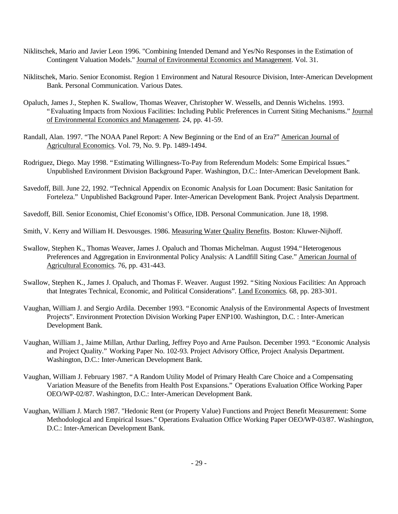- Niklitschek, Mario and Javier Leon 1996. "Combining Intended Demand and Yes/No Responses in the Estimation of Contingent Valuation Models." Journal of Environmental Economics and Management. Vol. 31.
- Niklitschek, Mario. Senior Economist. Region 1 Environment and Natural Resource Division, Inter-American Development Bank. Personal Communication. Various Dates.
- Opaluch, James J., Stephen K. Swallow, Thomas Weaver, Christopher W. Wessells, and Dennis Wichelns. 1993. "Evaluating Impacts from Noxious Facilities: Including Public Preferences in Current Siting Mechanisms." Journal of Environmental Economics and Management. 24, pp. 41-59.
- Randall, Alan. 1997. "The NOAA Panel Report: A New Beginning or the End of an Era?" American Journal of Agricultural Economics. Vol. 79, No. 9. Pp. 1489-1494.
- Rodriguez, Diego. May 1998. "Estimating Willingness-To-Pay from Referendum Models: Some Empirical Issues." Unpublished Environment Division Background Paper. Washington, D.C.: Inter-American Development Bank.
- Savedoff, Bill. June 22, 1992. "Technical Appendix on Economic Analysis for Loan Document: Basic Sanitation for Forteleza." Unpublished Background Paper. Inter-American Development Bank. Project Analysis Department.
- Savedoff, Bill. Senior Economist, Chief Economist's Office, IDB. Personal Communication. June 18, 1998.
- Smith, V. Kerry and William H. Desvousges. 1986. Measuring Water Quality Benefits. Boston: Kluwer-Nijhoff.
- Swallow, Stephen K., Thomas Weaver, James J. Opaluch and Thomas Michelman. August 1994."Heterogenous Preferences and Aggregation in Environmental Policy Analysis: A Landfill Siting Case." American Journal of Agricultural Economics. 76, pp. 431-443.
- Swallow, Stephen K., James J. Opaluch, and Thomas F. Weaver. August 1992. "Siting Noxious Facilities: An Approach that Integrates Technical, Economic, and Political Considerations". Land Economics. 68, pp. 283-301.
- Vaughan, William J. and Sergio Ardila. December 1993. "Economic Analysis of the Environmental Aspects of Investment Projects". Environment Protection Division Working Paper ENP100. Washington, D.C. : Inter-American Development Bank.
- Vaughan, William J., Jaime Millan, Arthur Darling, Jeffrey Poyo and Arne Paulson. December 1993. "Economic Analysis and Project Quality." Working Paper No. 102-93. Project Advisory Office, Project Analysis Department. Washington, D.C.: Inter-American Development Bank.
- Vaughan, William J. February 1987. "A Random Utility Model of Primary Health Care Choice and a Compensating Variation Measure of the Benefits from Health Post Expansions." Operations Evaluation Office Working Paper OEO/WP-02/87. Washington, D.C.: Inter-American Development Bank.
- Vaughan, William J. March 1987. "Hedonic Rent (or Property Value) Functions and Project Benefit Measurement: Some Methodological and Empirical Issues." Operations Evaluation Office Working Paper OEO/WP-03/87. Washington, D.C.: Inter-American Development Bank.